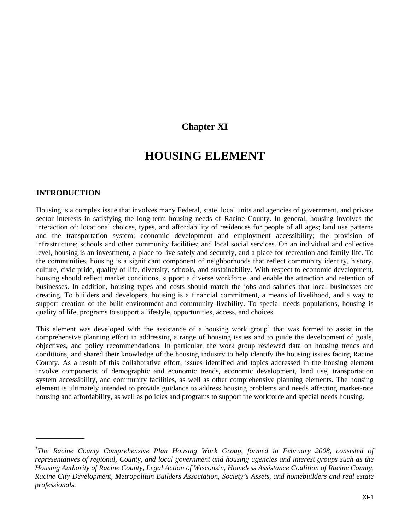# **Chapter XI**

# **HOUSING ELEMENT**

#### **INTRODUCTION**

Housing is a complex issue that involves many Federal, state, local units and agencies of government, and private sector interests in satisfying the long-term housing needs of Racine County. In general, housing involves the interaction of: locational choices, types, and affordability of residences for people of all ages; land use patterns and the transportation system; economic development and employment accessibility; the provision of infrastructure; schools and other community facilities; and local social services. On an individual and collective level, housing is an investment, a place to live safely and securely, and a place for recreation and family life. To the communities, housing is a significant component of neighborhoods that reflect community identity, history, culture, civic pride, quality of life, diversity, schools, and sustainability. With respect to economic development, housing should reflect market conditions, support a diverse workforce, and enable the attraction and retention of businesses. In addition, housing types and costs should match the jobs and salaries that local businesses are creating. To builders and developers, housing is a financial commitment, a means of livelihood, and a way to support creation of the built environment and community livability. To special needs populations, housing is quality of life, programs to support a lifestyle, opportunities, access, and choices.

This element was developed with the assistance of a housing work group<sup>1</sup> that was formed to assist in the comprehensive planning effort in addressing a range of housing issues and to guide the development of goals, objectives, and policy recommendations. In particular, the work group reviewed data on housing trends and conditions, and shared their knowledge of the housing industry to help identify the housing issues facing Racine County. As a result of this collaborative effort, issues identified and topics addressed in the housing element involve components of demographic and economic trends, economic development, land use, transportation system accessibility, and community facilities, as well as other comprehensive planning elements. The housing element is ultimately intended to provide guidance to address housing problems and needs affecting market-rate housing and affordability, as well as policies and programs to support the workforce and special needs housing.

<sup>&</sup>lt;sup>1</sup>The Racine County Comprehensive Plan Housing Work Group, formed in February 2008, consisted of *representatives of regional, County, and local government and housing agencies and interest groups such as the Housing Authority of Racine County, Legal Action of Wisconsin, Homeless Assistance Coalition of Racine County, Racine City Development, Metropolitan Builders Association, Society's Assets, and homebuilders and real estate professionals.*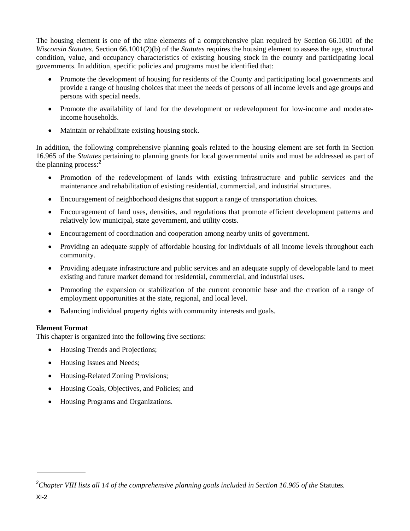The housing element is one of the nine elements of a comprehensive plan required by Section 66.1001 of the *Wisconsin Statutes*. Section 66.1001(2)(b) of the *Statutes* requires the housing element to assess the age, structural condition, value, and occupancy characteristics of existing housing stock in the county and participating local governments. In addition, specific policies and programs must be identified that:

- Promote the development of housing for residents of the County and participating local governments and provide a range of housing choices that meet the needs of persons of all income levels and age groups and persons with special needs.
- Promote the availability of land for the development or redevelopment for low-income and moderateincome households.
- Maintain or rehabilitate existing housing stock.

In addition, the following comprehensive planning goals related to the housing element are set forth in Section 16.965 of the *Statutes* pertaining to planning grants for local governmental units and must be addressed as part of the planning process:<sup>2</sup>

- Promotion of the redevelopment of lands with existing infrastructure and public services and the maintenance and rehabilitation of existing residential, commercial, and industrial structures.
- Encouragement of neighborhood designs that support a range of transportation choices.
- Encouragement of land uses, densities, and regulations that promote efficient development patterns and relatively low municipal, state government, and utility costs.
- Encouragement of coordination and cooperation among nearby units of government.
- Providing an adequate supply of affordable housing for individuals of all income levels throughout each community.
- Providing adequate infrastructure and public services and an adequate supply of developable land to meet existing and future market demand for residential, commercial, and industrial uses.
- Promoting the expansion or stabilization of the current economic base and the creation of a range of employment opportunities at the state, regional, and local level.
- Balancing individual property rights with community interests and goals.

# **Element Format**

This chapter is organized into the following five sections:

- Housing Trends and Projections;
- Housing Issues and Needs;
- Housing-Related Zoning Provisions;
- Housing Goals, Objectives, and Policies; and
- Housing Programs and Organizations.

<sup>&</sup>lt;sup>2</sup>Chapter VIII lists all 14 of the comprehensive planning goals included in Section 16.965 of the Statutes.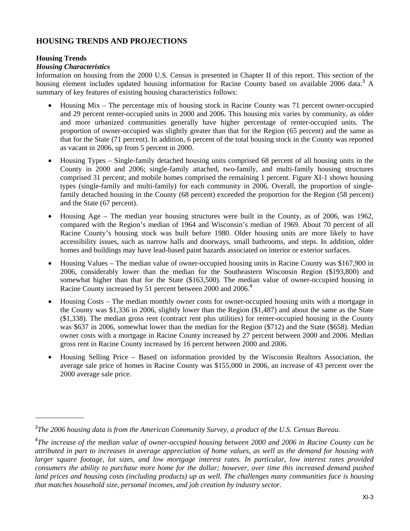# **HOUSING TRENDS AND PROJECTIONS**

### **Housing Trends**

### *Housing Characteristics*

Information on housing from the 2000 U.S. Census is presented in Chapter II of this report. This section of the housing element includes updated housing information for Racine County based on available 2006 data.<sup>3</sup> A summary of key features of existing housing characteristics follows:

- Housing Mix The percentage mix of housing stock in Racine County was 71 percent owner-occupied and 29 percent renter-occupied units in 2000 and 2006. This housing mix varies by community, as older and more urbanized communities generally have higher percentage of renter-occupied units. The proportion of owner-occupied was slightly greater than that for the Region (65 percent) and the same as that for the State (71 percent). In addition, 6 percent of the total housing stock in the County was reported as vacant in 2006, up from 5 percent in 2000.
- Housing Types Single-family detached housing units comprised 68 percent of all housing units in the County in 2000 and 2006; single-family attached, two-family, and multi-family housing structures comprised 31 percent; and mobile homes comprised the remaining 1 percent. Figure XI-1 shows housing types (single-family and multi-family) for each community in 2006. Overall, the proportion of singlefamily detached housing in the County (68 percent) exceeded the proportion for the Region (58 percent) and the State (67 percent).
- Housing Age The median year housing structures were built in the County, as of 2006, was 1962, compared with the Region's median of 1964 and Wisconsin's median of 1969. About 70 percent of all Racine County's housing stock was built before 1980. Older housing units are more likely to have accessibility issues, such as narrow halls and doorways, small bathrooms, and steps. In addition, older homes and buildings may have lead-based paint hazards associated on interior or exterior surfaces.
- Housing Values The median value of owner-occupied housing units in Racine County was \$167,900 in 2006, considerably lower than the median for the Southeastern Wisconsin Region (\$193,800) and somewhat higher than that for the State (\$163,500). The median value of owner-occupied housing in Racine County increased by 51 percent between 2000 and 2006.<sup>4</sup>
- Housing Costs The median monthly owner costs for owner-occupied housing units with a mortgage in the County was \$1,336 in 2006, slightly lower than the Region (\$1,487) and about the same as the State (\$1,338). The median gross rent (contract rent plus utilities) for renter-occupied housing in the County was \$637 in 2006, somewhat lower than the median for the Region (\$712) and the State (\$658). Median owner costs with a mortgage in Racine County increased by 27 percent between 2000 and 2006. Median gross rent in Racine County increased by 16 percent between 2000 and 2006.
- Housing Selling Price Based on information provided by the Wisconsin Realtors Association, the average sale price of homes in Racine County was \$155,000 in 2006, an increase of 43 percent over the 2000 average sale price.

*<sup>3</sup> The 2006 housing data is from the American Community Survey, a product of the U.S. Census Bureau.* 

*<sup>4</sup> The increase of the median value of owner-occupied housing between 2000 and 2006 in Racine County can be attributed in part to increases in average appreciation of home values, as well as the demand for housing with larger square footage, lot sizes, and low mortgage interest rates. In particular, low interest rates provided consumers the ability to purchase more home for the dollar; however, over time this increased demand pushed*  land prices and housing costs (including products) up as well. The challenges many communities face is housing *that matches household size, personal incomes, and job creation by industry sector.*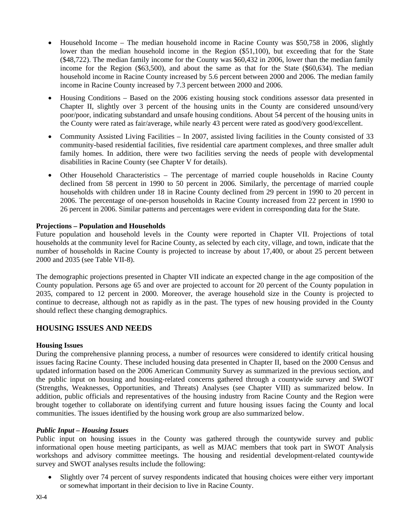- $\bullet$  Household Income The median household income in Racine County was \$50,758 in 2006, slightly lower than the median household income in the Region (\$51,100), but exceeding that for the State (\$48,722). The median family income for the County was \$60,432 in 2006, lower than the median family income for the Region (\$63,500), and about the same as that for the State (\$60,634). The median household income in Racine County increased by 5.6 percent between 2000 and 2006. The median family income in Racine County increased by 7.3 percent between 2000 and 2006.
- Housing Conditions Based on the 2006 existing housing stock conditions assessor data presented in Chapter II, slightly over 3 percent of the housing units in the County are considered unsound/very poor/poor, indicating substandard and unsafe housing conditions. About 54 percent of the housing units in the County were rated as fair/average, while nearly 43 percent were rated as good/very good/excellent.
- Community Assisted Living Facilities In 2007, assisted living facilities in the County consisted of 33 community-based residential facilities, five residential care apartment complexes, and three smaller adult family homes. In addition, there were two facilities serving the needs of people with developmental disabilities in Racine County (see Chapter V for details).
- Other Household Characteristics The percentage of married couple households in Racine County declined from 58 percent in 1990 to 50 percent in 2006. Similarly, the percentage of married couple households with children under 18 in Racine County declined from 29 percent in 1990 to 20 percent in 2006. The percentage of one-person households in Racine County increased from 22 percent in 1990 to 26 percent in 2006. Similar patterns and percentages were evident in corresponding data for the State.

## **Projections – Population and Households**

Future population and household levels in the County were reported in Chapter VII. Projections of total households at the community level for Racine County, as selected by each city, village, and town, indicate that the number of households in Racine County is projected to increase by about 17,400, or about 25 percent between 2000 and 2035 (see Table VII-8).

The demographic projections presented in Chapter VII indicate an expected change in the age composition of the County population. Persons age 65 and over are projected to account for 20 percent of the County population in 2035, compared to 12 percent in 2000. Moreover, the average household size in the County is projected to continue to decrease, although not as rapidly as in the past. The types of new housing provided in the County should reflect these changing demographics.

# **HOUSING ISSUES AND NEEDS**

#### **Housing Issues**

During the comprehensive planning process, a number of resources were considered to identify critical housing issues facing Racine County. These included housing data presented in Chapter II, based on the 2000 Census and updated information based on the 2006 American Community Survey as summarized in the previous section, and the public input on housing and housing-related concerns gathered through a countywide survey and SWOT (Strengths, Weaknesses, Opportunities, and Threats) Analyses (see Chapter VIII) as summarized below. In addition, public officials and representatives of the housing industry from Racine County and the Region were brought together to collaborate on identifying current and future housing issues facing the County and local communities. The issues identified by the housing work group are also summarized below.

#### *Public Input – Housing Issues*

Public input on housing issues in the County was gathered through the countywide survey and public informational open house meeting participants, as well as MJAC members that took part in SWOT Analysis workshops and advisory committee meetings. The housing and residential development-related countywide survey and SWOT analyses results include the following:

 Slightly over 74 percent of survey respondents indicated that housing choices were either very important or somewhat important in their decision to live in Racine County.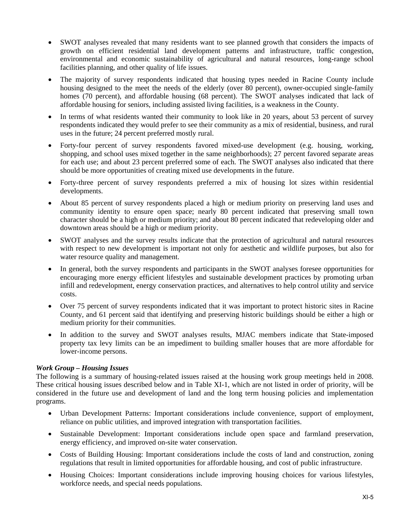- SWOT analyses revealed that many residents want to see planned growth that considers the impacts of growth on efficient residential land development patterns and infrastructure, traffic congestion, environmental and economic sustainability of agricultural and natural resources, long-range school facilities planning, and other quality of life issues.
- The majority of survey respondents indicated that housing types needed in Racine County include housing designed to the meet the needs of the elderly (over 80 percent), owner-occupied single-family homes (70 percent), and affordable housing (68 percent). The SWOT analyses indicated that lack of affordable housing for seniors, including assisted living facilities, is a weakness in the County.
- In terms of what residents wanted their community to look like in 20 years, about 53 percent of survey respondents indicated they would prefer to see their community as a mix of residential, business, and rural uses in the future; 24 percent preferred mostly rural.
- Forty-four percent of survey respondents favored mixed-use development (e.g. housing, working, shopping, and school uses mixed together in the same neighborhoods); 27 percent favored separate areas for each use; and about 23 percent preferred some of each. The SWOT analyses also indicated that there should be more opportunities of creating mixed use developments in the future.
- Forty-three percent of survey respondents preferred a mix of housing lot sizes within residential developments.
- About 85 percent of survey respondents placed a high or medium priority on preserving land uses and community identity to ensure open space; nearly 80 percent indicated that preserving small town character should be a high or medium priority; and about 80 percent indicated that redeveloping older and downtown areas should be a high or medium priority.
- SWOT analyses and the survey results indicate that the protection of agricultural and natural resources with respect to new development is important not only for aesthetic and wildlife purposes, but also for water resource quality and management.
- In general, both the survey respondents and participants in the SWOT analyses foresee opportunities for encouraging more energy efficient lifestyles and sustainable development practices by promoting urban infill and redevelopment, energy conservation practices, and alternatives to help control utility and service costs.
- Over 75 percent of survey respondents indicated that it was important to protect historic sites in Racine County, and 61 percent said that identifying and preserving historic buildings should be either a high or medium priority for their communities.
- In addition to the survey and SWOT analyses results, MJAC members indicate that State-imposed property tax levy limits can be an impediment to building smaller houses that are more affordable for lower-income persons.

#### *Work Group – Housing Issues*

The following is a summary of housing-related issues raised at the housing work group meetings held in 2008. These critical housing issues described below and in Table XI-1, which are not listed in order of priority, will be considered in the future use and development of land and the long term housing policies and implementation programs.

- Urban Development Patterns: Important considerations include convenience, support of employment, reliance on public utilities, and improved integration with transportation facilities.
- Sustainable Development: Important considerations include open space and farmland preservation, energy efficiency, and improved on-site water conservation.
- Costs of Building Housing: Important considerations include the costs of land and construction, zoning regulations that result in limited opportunities for affordable housing, and cost of public infrastructure.
- Housing Choices: Important considerations include improving housing choices for various lifestyles, workforce needs, and special needs populations.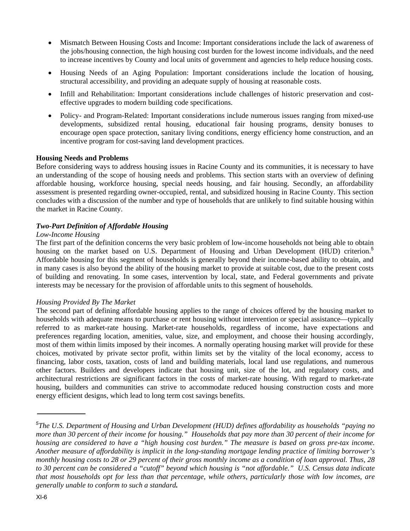- Mismatch Between Housing Costs and Income: Important considerations include the lack of awareness of the jobs/housing connection, the high housing cost burden for the lowest income individuals, and the need to increase incentives by County and local units of government and agencies to help reduce housing costs.
- Housing Needs of an Aging Population: Important considerations include the location of housing, structural accessibility, and providing an adequate supply of housing at reasonable costs.
- Infill and Rehabilitation: Important considerations include challenges of historic preservation and costeffective upgrades to modern building code specifications.
- Policy- and Program-Related: Important considerations include numerous issues ranging from mixed-use developments, subsidized rental housing, educational fair housing programs, density bonuses to encourage open space protection, sanitary living conditions, energy efficiency home construction, and an incentive program for cost-saving land development practices.

## **Housing Needs and Problems**

Before considering ways to address housing issues in Racine County and its communities, it is necessary to have an understanding of the scope of housing needs and problems. This section starts with an overview of defining affordable housing, workforce housing, special needs housing, and fair housing. Secondly, an affordability assessment is presented regarding owner-occupied, rental, and subsidized housing in Racine County. This section concludes with a discussion of the number and type of households that are unlikely to find suitable housing within the market in Racine County.

#### *Two-Part Definition of Affordable Housing*

#### *Low-Income Housing*

The first part of the definition concerns the very basic problem of low-income households not being able to obtain housing on the market based on U.S. Department of Housing and Urban Development (HUD) criterion.<sup>5</sup> Affordable housing for this segment of households is generally beyond their income-based ability to obtain, and in many cases is also beyond the ability of the housing market to provide at suitable cost, due to the present costs of building and renovating. In some cases, intervention by local, state, and Federal governments and private interests may be necessary for the provision of affordable units to this segment of households.

#### *Housing Provided By The Market*

The second part of defining affordable housing applies to the range of choices offered by the housing market to households with adequate means to purchase or rent housing without intervention or special assistance—typically referred to as market-rate housing. Market-rate households, regardless of income, have expectations and preferences regarding location, amenities, value, size, and employment, and choose their housing accordingly, most of them within limits imposed by their incomes. A normally operating housing market will provide for these choices, motivated by private sector profit, within limits set by the vitality of the local economy, access to financing, labor costs, taxation, costs of land and building materials, local land use regulations, and numerous other factors. Builders and developers indicate that housing unit, size of the lot, and regulatory costs, and architectural restrictions are significant factors in the costs of market-rate housing. With regard to market-rate housing, builders and communities can strive to accommodate reduced housing construction costs and more energy efficient designs, which lead to long term cost savings benefits.

*<sup>5</sup> The U.S. Department of Housing and Urban Development (HUD) defines affordability as households "paying no more than 30 percent of their income for housing." Households that pay more than 30 percent of their income for housing are considered to have a "high housing cost burden." The measure is based on gross pre-tax income. Another measure of affordability is implicit in the long-standing mortgage lending practice of limiting borrower's monthly housing costs to 28 or 29 percent of their gross monthly income as a condition of loan approval. Thus, 28*  to 30 percent can be considered a "cutoff" beyond which housing is "not affordable." U.S. Census data indicate *that most households opt for less than that percentage, while others, particularly those with low incomes, are generally unable to conform to such a standard.*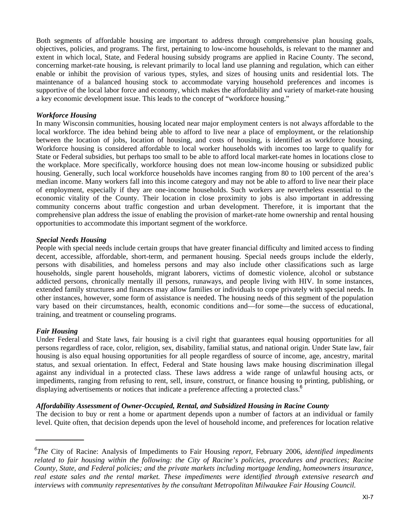Both segments of affordable housing are important to address through comprehensive plan housing goals, objectives, policies, and programs. The first, pertaining to low-income households, is relevant to the manner and extent in which local, State, and Federal housing subsidy programs are applied in Racine County. The second, concerning market-rate housing, is relevant primarily to local land use planning and regulation, which can either enable or inhibit the provision of various types, styles, and sizes of housing units and residential lots. The maintenance of a balanced housing stock to accommodate varying household preferences and incomes is supportive of the local labor force and economy, which makes the affordability and variety of market-rate housing a key economic development issue. This leads to the concept of "workforce housing."

#### *Workforce Housing*

In many Wisconsin communities, housing located near major employment centers is not always affordable to the local workforce. The idea behind being able to afford to live near a place of employment, or the relationship between the location of jobs, location of housing, and costs of housing, is identified as workforce housing. Workforce housing is considered affordable to local worker households with incomes too large to qualify for State or Federal subsidies, but perhaps too small to be able to afford local market-rate homes in locations close to the workplace. More specifically, workforce housing does not mean low-income housing or subsidized public housing. Generally, such local workforce households have incomes ranging from 80 to 100 percent of the area's median income. Many workers fall into this income category and may not be able to afford to live near their place of employment, especially if they are one-income households. Such workers are nevertheless essential to the economic vitality of the County. Their location in close proximity to jobs is also important in addressing community concerns about traffic congestion and urban development. Therefore, it is important that the comprehensive plan address the issue of enabling the provision of market-rate home ownership and rental housing opportunities to accommodate this important segment of the workforce.

#### *Special Needs Housing*

People with special needs include certain groups that have greater financial difficulty and limited access to finding decent, accessible, affordable, short-term, and permanent housing. Special needs groups include the elderly, persons with disabilities, and homeless persons and may also include other classifications such as large households, single parent households, migrant laborers, victims of domestic violence, alcohol or substance addicted persons, chronically mentally ill persons, runaways, and people living with HIV. In some instances, extended family structures and finances may allow families or individuals to cope privately with special needs. In other instances, however, some form of assistance is needed. The housing needs of this segment of the population vary based on their circumstances, health, economic conditions and—for some—the success of educational, training, and treatment or counseling programs.

#### *Fair Housing*

Under Federal and State laws, fair housing is a civil right that guarantees equal housing opportunities for all persons regardless of race, color, religion, sex, disability, familial status, and national origin. Under State law, fair housing is also equal housing opportunities for all people regardless of source of income, age, ancestry, marital status, and sexual orientation. In effect, Federal and State housing laws make housing discrimination illegal against any individual in a protected class. These laws address a wide range of unlawful housing acts, or impediments, ranging from refusing to rent, sell, insure, construct, or finance housing to printing, publishing, or displaying advertisements or notices that indicate a preference affecting a protected class.<sup>6</sup>

#### *Affordability Assessment of Owner-Occupied, Rental, and Subsidized Housing in Racine County*

The decision to buy or rent a home or apartment depends upon a number of factors at an individual or family level. Quite often, that decision depends upon the level of household income, and preferences for location relative

*<sup>6</sup> The* City of Racine: Analysis of Impediments to Fair Housing *report,* February 2006, *identified impediments related to fair housing within the following: the City of Racine's policies, procedures and practices; Racine County, State, and Federal policies; and the private markets including mortgage lending, homeowners insurance, real estate sales and the rental market. These impediments were identified through extensive research and interviews with community representatives by the consultant Metropolitan Milwaukee Fair Housing Council.*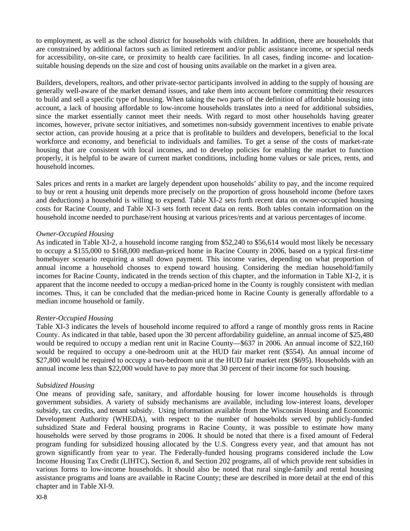to employment, as well as the school district for households with children. In addition, there are households that are constrained by additional factors such as limited retirement and/or public assistance income, or special needs for accessibility, on-site care, or proximity to health care facilities. In all cases, finding income- and locationsuitable housing depends on the size and cost of housing units available on the market in a given area.

Builders, developers, realtors, and other private-sector participants involved in adding to the supply of housing are generally well-aware of the market demand issues, and take them into account before committing their resources to build and sell a specific type of housing. When taking the two parts of the definition of affordable housing into account, a lack of housing affordable to low-income households translates into a need for additional subsidies, since the market essentially cannot meet their needs. With regard to most other households having greater incomes, however, private sector initiatives, and sometimes non-subsidy government incentives to enable private sector action, can provide housing at a price that is profitable to builders and developers, beneficial to the local workforce and economy, and beneficial to individuals and families. To get a sense of the costs of market-rate housing that are consistent with local incomes, and to develop policies for enabling the market to function properly, it is helpful to be aware of current market conditions, including home values or sale prices, rents, and household incomes.

Sales prices and rents in a market are largely dependent upon households' ability to pay, and the income required to buy or rent a housing unit depends more precisely on the proportion of gross household income (before taxes and deductions) a household is willing to expend. Table XI-2 sets forth recent data on owner-occupied housing costs for Racine County, and Table XI-3 sets forth recent data on rents. Both tables contain information on the household income needed to purchase/rent housing at various prices/rents and at various percentages of income.

#### *Owner-Occupied Housing*

As indicated in Table XI-2, a household income ranging from \$52,240 to \$56,614 would most likely be necessary to occupy a \$155,000 to \$168,000 median-priced home in Racine County in 2006, based on a typical first-time homebuyer scenario requiring a small down payment. This income varies, depending on what proportion of annual income a household chooses to expend toward housing. Considering the median household/family incomes for Racine County, indicated in the trends section of this chapter, and the information in Table XI-2, it is apparent that the income needed to occupy a median-priced home in the County is roughly consistent with median incomes. Thus, it can be concluded that the median-priced home in Racine County is generally affordable to a median income household or family.

#### *Renter-Occupied Housing*

Table XI-3 indicates the levels of household income required to afford a range of monthly gross rents in Racine County. As indicated in that table, based upon the 30 percent affordability guideline, an annual income of \$25,480 would be required to occupy a median rent unit in Racine County—\$637 in 2006. An annual income of \$22,160 would be required to occupy a one-bedroom unit at the HUD fair market rent (\$554). An annual income of \$27,800 would be required to occupy a two-bedroom unit at the HUD fair market rent (\$695). Households with an annual income less than \$22,000 would have to pay more that 30 percent of their income for such housing.

#### *Subsidized Housing*

One means of providing safe, sanitary, and affordable housing for lower income households is through government subsidies. A variety of subsidy mechanisms are available, including low-interest loans, developer subsidy, tax credits, and tenant subsidy. Using information available from the Wisconsin Housing and Economic Development Authority (WHEDA), with respect to the number of households served by publicly-funded subsidized State and Federal housing programs in Racine County, it was possible to estimate how many households were served by those programs in 2006. It should be noted that there is a fixed amount of Federal program funding for subsidized housing allocated by the U.S. Congress every year, and that amount has not grown significantly from year to year. The Federally-funded housing programs considered include the Low Income Housing Tax Credit (LIHTC), Section 8, and Section 202 programs, all of which provide rent subsidies in various forms to low-income households. It should also be noted that rural single-family and rental housing assistance programs and loans are available in Racine County; these are described in more detail at the end of this chapter and in Table XI-9.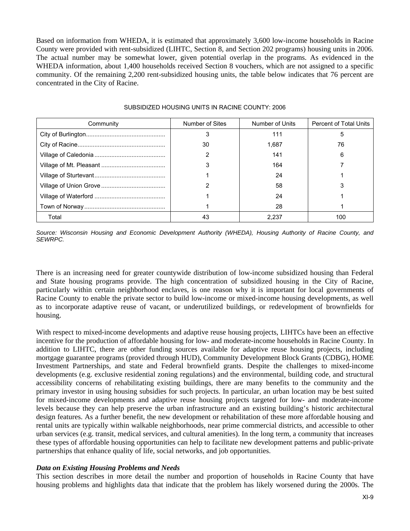Based on information from WHEDA, it is estimated that approximately 3,600 low-income households in Racine County were provided with rent-subsidized (LIHTC, Section 8, and Section 202 programs) housing units in 2006. The actual number may be somewhat lower, given potential overlap in the programs. As evidenced in the WHEDA information, about 1,400 households received Section 8 vouchers, which are not assigned to a specific community. Of the remaining 2,200 rent-subsidized housing units, the table below indicates that 76 percent are concentrated in the City of Racine.

| Community | Number of Sites | Number of Units | <b>Percent of Total Units</b> |
|-----------|-----------------|-----------------|-------------------------------|
|           |                 | 111             | 5                             |
|           | 30              | 1.687           | 76                            |
|           |                 | 141             | 6                             |
|           |                 | 164             |                               |
|           |                 | 24              |                               |
|           |                 | 58              |                               |
|           |                 | 24              |                               |
|           |                 | 28              |                               |
| Total     | 43              | 2.237           | 100                           |

#### SUBSIDIZED HOUSING UNITS IN RACINE COUNTY: 2006

*Source: Wisconsin Housing and Economic Development Authority (WHEDA), Housing Authority of Racine County, and SEWRPC.* 

There is an increasing need for greater countywide distribution of low-income subsidized housing than Federal and State housing programs provide. The high concentration of subsidized housing in the City of Racine, particularly within certain neighborhood enclaves, is one reason why it is important for local governments of Racine County to enable the private sector to build low-income or mixed-income housing developments, as well as to incorporate adaptive reuse of vacant, or underutilized buildings, or redevelopment of brownfields for housing.

With respect to mixed-income developments and adaptive reuse housing projects, LIHTCs have been an effective incentive for the production of affordable housing for low- and moderate-income households in Racine County. In addition to LIHTC, there are other funding sources available for adaptive reuse housing projects, including mortgage guarantee programs (provided through HUD), Community Development Block Grants (CDBG), HOME Investment Partnerships, and state and Federal brownfield grants. Despite the challenges to mixed-income developments (e.g. exclusive residential zoning regulations) and the environmental, building code, and structural accessibility concerns of rehabilitating existing buildings, there are many benefits to the community and the primary investor in using housing subsidies for such projects. In particular, an urban location may be best suited for mixed-income developments and adaptive reuse housing projects targeted for low- and moderate-income levels because they can help preserve the urban infrastructure and an existing building's historic architectural design features. As a further benefit, the new development or rehabilitation of these more affordable housing and rental units are typically within walkable neighborhoods, near prime commercial districts, and accessible to other urban services (e.g. transit, medical services, and cultural amenities). In the long term, a community that increases these types of affordable housing opportunities can help to facilitate new development patterns and public-private partnerships that enhance quality of life, social networks, and job opportunities.

#### *Data on Existing Housing Problems and Needs*

This section describes in more detail the number and proportion of households in Racine County that have housing problems and highlights data that indicate that the problem has likely worsened during the 2000s. The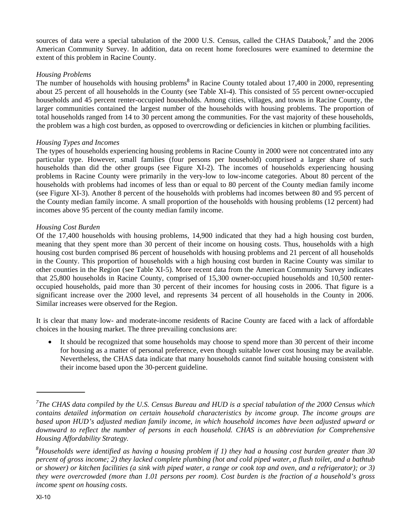sources of data were a special tabulation of the 2000 U.S. Census, called the CHAS Databook,<sup>7</sup> and the 2006 American Community Survey. In addition, data on recent home foreclosures were examined to determine the extent of this problem in Racine County.

#### *Housing Problems*

The number of households with housing problems<sup>8</sup> in Racine County totaled about 17,400 in 2000, representing about 25 percent of all households in the County (see Table XI-4). This consisted of 55 percent owner-occupied households and 45 percent renter-occupied households. Among cities, villages, and towns in Racine County, the larger communities contained the largest number of the households with housing problems. The proportion of total households ranged from 14 to 30 percent among the communities. For the vast majority of these households, the problem was a high cost burden, as opposed to overcrowding or deficiencies in kitchen or plumbing facilities.

## *Housing Types and Incomes*

The types of households experiencing housing problems in Racine County in 2000 were not concentrated into any particular type. However, small families (four persons per household) comprised a larger share of such households than did the other groups (see Figure XI-2). The incomes of households experiencing housing problems in Racine County were primarily in the very-low to low-income categories. About 80 percent of the households with problems had incomes of less than or equal to 80 percent of the County median family income (see Figure XI-3). Another 8 percent of the households with problems had incomes between 80 and 95 percent of the County median family income. A small proportion of the households with housing problems (12 percent) had incomes above 95 percent of the county median family income.

## *Housing Cost Burden*

Of the 17,400 households with housing problems, 14,900 indicated that they had a high housing cost burden, meaning that they spent more than 30 percent of their income on housing costs. Thus, households with a high housing cost burden comprised 86 percent of households with housing problems and 21 percent of all households in the County. This proportion of households with a high housing cost burden in Racine County was similar to other counties in the Region (see Table XI-5). More recent data from the American Community Survey indicates that 25,800 households in Racine County, comprised of 15,300 owner-occupied households and 10,500 renteroccupied households, paid more than 30 percent of their incomes for housing costs in 2006. That figure is a significant increase over the 2000 level, and represents 34 percent of all households in the County in 2006. Similar increases were observed for the Region.

It is clear that many low- and moderate-income residents of Racine County are faced with a lack of affordable choices in the housing market. The three prevailing conclusions are:

 It should be recognized that some households may choose to spend more than 30 percent of their income for housing as a matter of personal preference, even though suitable lower cost housing may be available. Nevertheless, the CHAS data indicate that many households cannot find suitable housing consistent with their income based upon the 30-percent guideline.

<sup>&</sup>lt;sup>7</sup>The CHAS data compiled by the U.S. Census Bureau and HUD is a special tabulation of the 2000 Census which *contains detailed information on certain household characteristics by income group. The income groups are based upon HUD's adjusted median family income, in which household incomes have been adjusted upward or downward to reflect the number of persons in each household. CHAS is an abbreviation for Comprehensive Housing Affordability Strategy.* 

*<sup>8</sup> Households were identified as having a housing problem if 1) they had a housing cost burden greater than 30 percent of gross income; 2) they lacked complete plumbing (hot and cold piped water, a flush toilet, and a bathtub or shower) or kitchen facilities (a sink with piped water, a range or cook top and oven, and a refrigerator); or 3) they were overcrowded (more than 1.01 persons per room). Cost burden is the fraction of a household's gross income spent on housing costs.*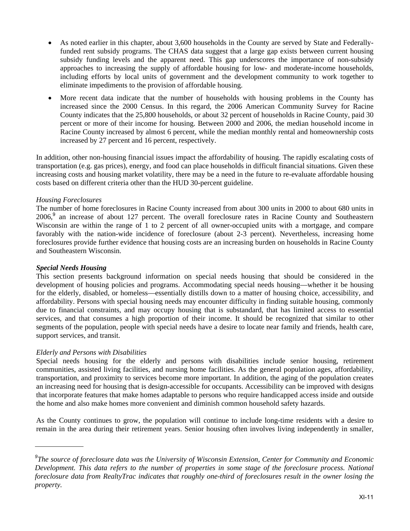- As noted earlier in this chapter, about 3,600 households in the County are served by State and Federallyfunded rent subsidy programs. The CHAS data suggest that a large gap exists between current housing subsidy funding levels and the apparent need. This gap underscores the importance of non-subsidy approaches to increasing the supply of affordable housing for low- and moderate-income households, including efforts by local units of government and the development community to work together to eliminate impediments to the provision of affordable housing.
- More recent data indicate that the number of households with housing problems in the County has increased since the 2000 Census. In this regard, the 2006 American Community Survey for Racine County indicates that the 25,800 households, or about 32 percent of households in Racine County, paid 30 percent or more of their income for housing. Between 2000 and 2006, the median household income in Racine County increased by almost 6 percent, while the median monthly rental and homeownership costs increased by 27 percent and 16 percent, respectively.

In addition, other non-housing financial issues impact the affordability of housing. The rapidly escalating costs of transportation (e.g. gas prices), energy, and food can place households in difficult financial situations. Given these increasing costs and housing market volatility, there may be a need in the future to re-evaluate affordable housing costs based on different criteria other than the HUD 30-percent guideline.

## *Housing Foreclosures*

The number of home foreclosures in Racine County increased from about 300 units in 2000 to about 680 units in 2006,<sup>9</sup> an increase of about 127 percent. The overall foreclosure rates in Racine County and Southeastern Wisconsin are within the range of 1 to 2 percent of all owner-occupied units with a mortgage, and compare favorably with the nation-wide incidence of foreclosure (about 2-3 percent). Nevertheless, increasing home foreclosures provide further evidence that housing costs are an increasing burden on households in Racine County and Southeastern Wisconsin.

#### *Special Needs Housing*

This section presents background information on special needs housing that should be considered in the development of housing policies and programs. Accommodating special needs housing—whether it be housing for the elderly, disabled, or homeless—essentially distills down to a matter of housing choice, accessibility, and affordability. Persons with special housing needs may encounter difficulty in finding suitable housing, commonly due to financial constraints, and may occupy housing that is substandard, that has limited access to essential services, and that consumes a high proportion of their income. It should be recognized that similar to other segments of the population, people with special needs have a desire to locate near family and friends, health care, support services, and transit.

#### *Elderly and Persons with Disabilities*

Special needs housing for the elderly and persons with disabilities include senior housing, retirement communities, assisted living facilities, and nursing home facilities. As the general population ages, affordability, transportation, and proximity to services become more important. In addition, the aging of the population creates an increasing need for housing that is design-accessible for occupants. Accessibility can be improved with designs that incorporate features that make homes adaptable to persons who require handicapped access inside and outside the home and also make homes more convenient and diminish common household safety hazards.

As the County continues to grow, the population will continue to include long-time residents with a desire to remain in the area during their retirement years. Senior housing often involves living independently in smaller,

*<sup>9</sup> The source of foreclosure data was the University of Wisconsin Extension, Center for Community and Economic Development. This data refers to the number of properties in some stage of the foreclosure process. National foreclosure data from RealtyTrac indicates that roughly one-third of foreclosures result in the owner losing the property.*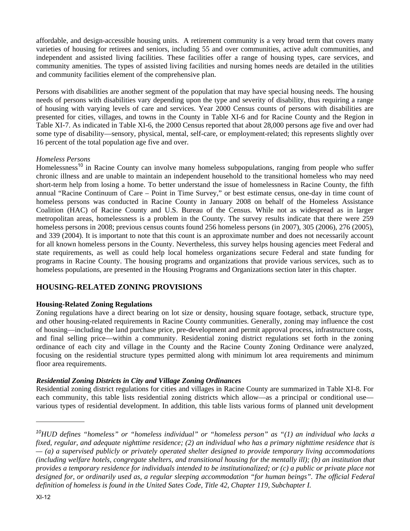affordable, and design-accessible housing units. A retirement community is a very broad term that covers many varieties of housing for retirees and seniors, including 55 and over communities, active adult communities, and independent and assisted living facilities. These facilities offer a range of housing types, care services, and community amenities. The types of assisted living facilities and nursing homes needs are detailed in the utilities and community facilities element of the comprehensive plan.

Persons with disabilities are another segment of the population that may have special housing needs. The housing needs of persons with disabilities vary depending upon the type and severity of disability, thus requiring a range of housing with varying levels of care and services. Year 2000 Census counts of persons with disabilities are presented for cities, villages, and towns in the County in Table XI-6 and for Racine County and the Region in Table XI-7. As indicated in Table XI-6, the 2000 Census reported that about 28,000 persons age five and over had some type of disability—sensory, physical, mental, self-care, or employment-related; this represents slightly over 16 percent of the total population age five and over.

#### *Homeless Persons*

Homelessness<sup>10</sup> in Racine County can involve many homeless subpopulations, ranging from people who suffer chronic illness and are unable to maintain an independent household to the transitional homeless who may need short-term help from losing a home. To better understand the issue of homelessness in Racine County, the fifth annual "Racine Continuum of Care – Point in Time Survey," or best estimate census, one-day in time count of homeless persons was conducted in Racine County in January 2008 on behalf of the Homeless Assistance Coalition (HAC) of Racine County and U.S. Bureau of the Census. While not as widespread as in larger metropolitan areas, homelessness is a problem in the County. The survey results indicate that there were 259 homeless persons in 2008; previous census counts found 256 homeless persons (in 2007), 305 (2006), 276 (2005), and 339 (2004). It is important to note that this count is an approximate number and does not necessarily account for all known homeless persons in the County. Nevertheless, this survey helps housing agencies meet Federal and state requirements, as well as could help local homeless organizations secure Federal and state funding for programs in Racine County. The housing programs and organizations that provide various services, such as to homeless populations, are presented in the Housing Programs and Organizations section later in this chapter.

# **HOUSING-RELATED ZONING PROVISIONS**

# **Housing-Related Zoning Regulations**

Zoning regulations have a direct bearing on lot size or density, housing square footage, setback, structure type, and other housing-related requirements in Racine County communities. Generally, zoning may influence the cost of housing—including the land purchase price, pre-development and permit approval process, infrastructure costs, and final selling price—within a community. Residential zoning district regulations set forth in the zoning ordinance of each city and village in the County and the Racine County Zoning Ordinance were analyzed, focusing on the residential structure types permitted along with minimum lot area requirements and minimum floor area requirements.

# *Residential Zoning Districts in City and Village Zoning Ordinances*

Residential zoning district regulations for cities and villages in Racine County are summarized in Table XI-8. For each community, this table lists residential zoning districts which allow—as a principal or conditional use various types of residential development. In addition, this table lists various forms of planned unit development

*<sup>10</sup> HUD defines "homeless" or "homeless individual" or "homeless person" as "(1) an individual who lacks a fixed, regular, and adequate nighttime residence; (2) an individual who has a primary nighttime residence that is — (a) a supervised publicly or privately operated shelter designed to provide temporary living accommodations (including welfare hotels, congregate shelters, and transitional housing for the mentally ill); (b) an institution that provides a temporary residence for individuals intended to be institutionalized; or (c) a public or private place not*  designed for, or ordinarily used as, a regular sleeping accommodation "for human beings". The official Federal *definition of homeless is found in the United Sates Code, Title 42, Chapter 119, Subchapter I.*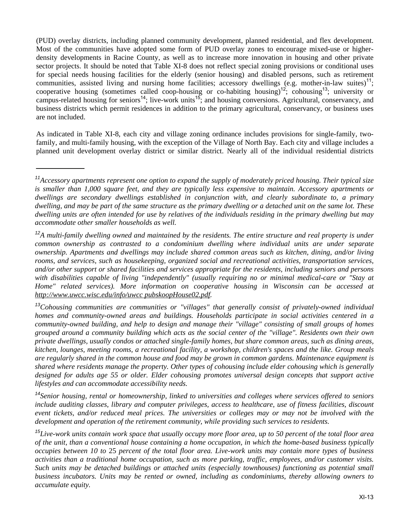(PUD) overlay districts, including planned community development, planned residential, and flex development. Most of the communities have adopted some form of PUD overlay zones to encourage mixed-use or higherdensity developments in Racine County, as well as to increase more innovation in housing and other private sector projects. It should be noted that Table XI-8 does not reflect special zoning provisions or conditional uses for special needs housing facilities for the elderly (senior housing) and disabled persons, such as retirement communities, assisted living and nursing home facilities; accessory dwellings (e.g. mother-in-law suites)<sup>11</sup>; cooperative housing (sometimes called coop-housing or co-habiting housing)<sup>12</sup>; cohousing<sup>13</sup>; university or campus-related housing for seniors<sup>14</sup>; live-work units<sup>15</sup>; and housing conversions. Agricultural, conservancy, and business districts which permit residences in addition to the primary agricultural, conservancy, or business uses are not included.

As indicated in Table XI-8, each city and village zoning ordinance includes provisions for single-family, twofamily, and multi-family housing, with the exception of the Village of North Bay. Each city and village includes a planned unit development overlay district or similar district. Nearly all of the individual residential districts

*<sup>14</sup>Senior housing, rental or homeownership, linked to universities and colleges where services offered to seniors include auditing classes, library and computer privileges, access to healthcare, use of fitness facilities, discount event tickets, and/or reduced meal prices. The universities or colleges may or may not be involved with the development and operation of the retirement community, while providing such services to residents.* 

*<sup>15</sup>Live-work units contain work space that usually occupy more floor area, up to 50 percent of the total floor area of the unit, than a conventional house containing a home occupation, in which the home-based business typically occupies between 10 to* 25 *percent of the total floor area. Live-work units may contain more types of business activities than a traditional home occupation, such as more parking, traffic, employees, and/or customer visits. Such units may be detached buildings or attached units (especially townhouses) functioning as potential small business incubators. Units may be rented or owned, including as condominiums, thereby allowing owners to accumulate equity.*

*<sup>11</sup>Accessory apartments represent one option to expand the supply of moderately priced housing. Their typical size is smaller than 1,000 square feet, and they are typically less expensive to maintain. Accessory apartments or dwellings are secondary dwellings established in conjunction with, and clearly subordinate to, a primary dwelling, and may be part of the same structure as the primary dwelling or a detached unit on the same lot. These dwelling units are often intended for use by relatives of the individuals residing in the primary dwelling but may accommodate other smaller households as well.* 

<sup>&</sup>lt;sup>12</sup>*A multi-family dwelling owned and maintained by the residents. The entire structure and real property is under common ownership as contrasted to a condominium dwelling where individual units are under separate ownership. Apartments and dwellings may include shared common areas such as kitchen, dining, and/or living rooms, and services, such as housekeeping, organized social and recreational activities, transportation services, and/or other support or shared facilities and services appropriate for the residents, including seniors and persons*  with disabilities capable of living "independently" (usually requiring no or minimal medical-care or "Stay at *Home" related services). More information on cooperative housing in Wisconsin can be accessed at http://www.uwcc.wisc.edu/info/uwcc pubskoopHouse02.pdf.* 

*<sup>13</sup>Cohousing communities are communities or "villages" that generally consist of privately-owned individual homes and community-owned areas and buildings. Households participate in social activities centered in a community-owned building, and help to design and manage their "village" consisting of small groups of homes grouped around a community building which acts as the social center of the "village". Residents own their own private dwellings, usually condos or attached single-family homes, but share common areas, such as dining areas, kitchen, lounges, meeting rooms, a recreational facility, a workshop, children's spaces and the like. Group meals are regularly shared in the common house and food may be grown in common gardens. Maintenance equipment is shared where residents manage the property. Other types of cohousing include elder cohousing which is generally designed for adults age 55 or older. Elder cohousing promotes universal design concepts that support active lifestyles and can accommodate accessibility needs.*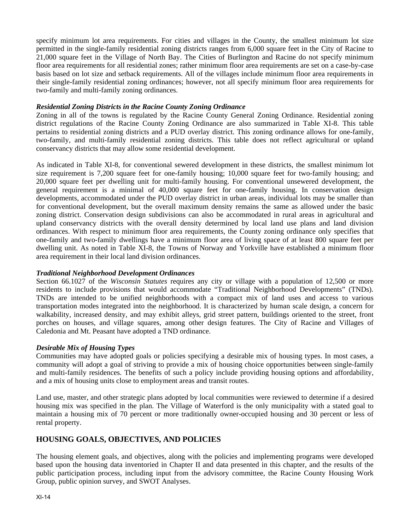specify minimum lot area requirements. For cities and villages in the County, the smallest minimum lot size permitted in the single-family residential zoning districts ranges from 6,000 square feet in the City of Racine to 21,000 square feet in the Village of North Bay. The Cities of Burlington and Racine do not specify minimum floor area requirements for all residential zones; rather minimum floor area requirements are set on a case-by-case basis based on lot size and setback requirements. All of the villages include minimum floor area requirements in their single-family residential zoning ordinances; however, not all specify minimum floor area requirements for two-family and multi-family zoning ordinances.

### *Residential Zoning Districts in the Racine County Zoning Ordinance*

Zoning in all of the towns is regulated by the Racine County General Zoning Ordinance. Residential zoning district regulations of the Racine County Zoning Ordinance are also summarized in Table XI-8. This table pertains to residential zoning districts and a PUD overlay district. This zoning ordinance allows for one-family, two-family, and multi-family residential zoning districts. This table does not reflect agricultural or upland conservancy districts that may allow some residential development.

As indicated in Table XI-8, for conventional sewered development in these districts, the smallest minimum lot size requirement is 7,200 square feet for one-family housing; 10,000 square feet for two-family housing; and 20,000 square feet per dwelling unit for multi-family housing. For conventional unsewered development, the general requirement is a minimal of 40,000 square feet for one-family housing. In conservation design developments, accommodated under the PUD overlay district in urban areas, individual lots may be smaller than for conventional development, but the overall maximum density remains the same as allowed under the basic zoning district. Conservation design subdivisions can also be accommodated in rural areas in agricultural and upland conservancy districts with the overall density determined by local land use plans and land division ordinances. With respect to minimum floor area requirements, the County zoning ordinance only specifies that one-family and two-family dwellings have a minimum floor area of living space of at least 800 square feet per dwelling unit. As noted in Table XI-8, the Towns of Norway and Yorkville have established a minimum floor area requirement in their local land division ordinances.

# *Traditional Neighborhood Development Ordinances*

Section 66.1027 of the *Wisconsin Statutes* requires any city or village with a population of 12,500 or more residents to include provisions that would accommodate "Traditional Neighborhood Developments" (TNDs). TNDs are intended to be unified neighborhoods with a compact mix of land uses and access to various transportation modes integrated into the neighborhood. It is characterized by human scale design, a concern for walkability, increased density, and may exhibit alleys, grid street pattern, buildings oriented to the street, front porches on houses, and village squares, among other design features. The City of Racine and Villages of Caledonia and Mt. Peasant have adopted a TND ordinance.

# *Desirable Mix of Housing Types*

Communities may have adopted goals or policies specifying a desirable mix of housing types. In most cases, a community will adopt a goal of striving to provide a mix of housing choice opportunities between single-family and multi-family residences. The benefits of such a policy include providing housing options and affordability, and a mix of housing units close to employment areas and transit routes.

Land use, master, and other strategic plans adopted by local communities were reviewed to determine if a desired housing mix was specified in the plan. The Village of Waterford is the only municipality with a stated goal to maintain a housing mix of 70 percent or more traditionally owner-occupied housing and 30 percent or less of rental property.

# **HOUSING GOALS, OBJECTIVES, AND POLICIES**

The housing element goals, and objectives, along with the policies and implementing programs were developed based upon the housing data inventoried in Chapter II and data presented in this chapter, and the results of the public participation process, including input from the advisory committee, the Racine County Housing Work Group, public opinion survey, and SWOT Analyses.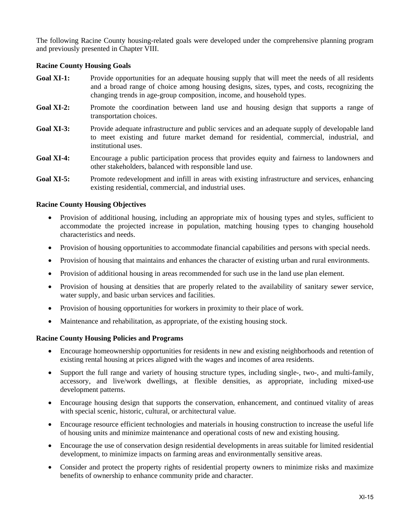The following Racine County housing-related goals were developed under the comprehensive planning program and previously presented in Chapter VIII.

#### **Racine County Housing Goals**

- **Goal XI-1:** Provide opportunities for an adequate housing supply that will meet the needs of all residents and a broad range of choice among housing designs, sizes, types, and costs, recognizing the changing trends in age-group composition, income, and household types.
- Goal XI-2: Promote the coordination between land use and housing design that supports a range of transportation choices.
- Goal XI-3: Provide adequate infrastructure and public services and an adequate supply of developable land to meet existing and future market demand for residential, commercial, industrial, and institutional uses.
- **Goal XI-4:** Encourage a public participation process that provides equity and fairness to landowners and other stakeholders, balanced with responsible land use.
- **Goal XI-5:** Promote redevelopment and infill in areas with existing infrastructure and services, enhancing existing residential, commercial, and industrial uses.

#### **Racine County Housing Objectives**

- Provision of additional housing, including an appropriate mix of housing types and styles, sufficient to accommodate the projected increase in population, matching housing types to changing household characteristics and needs.
- Provision of housing opportunities to accommodate financial capabilities and persons with special needs.
- Provision of housing that maintains and enhances the character of existing urban and rural environments.
- Provision of additional housing in areas recommended for such use in the land use plan element.
- Provision of housing at densities that are properly related to the availability of sanitary sewer service, water supply, and basic urban services and facilities.
- Provision of housing opportunities for workers in proximity to their place of work.
- Maintenance and rehabilitation, as appropriate, of the existing housing stock.

#### **Racine County Housing Policies and Programs**

- Encourage homeownership opportunities for residents in new and existing neighborhoods and retention of existing rental housing at prices aligned with the wages and incomes of area residents.
- Support the full range and variety of housing structure types, including single-, two-, and multi-family, accessory, and live/work dwellings, at flexible densities, as appropriate, including mixed-use development patterns.
- Encourage housing design that supports the conservation, enhancement, and continued vitality of areas with special scenic, historic, cultural, or architectural value.
- Encourage resource efficient technologies and materials in housing construction to increase the useful life of housing units and minimize maintenance and operational costs of new and existing housing.
- Encourage the use of conservation design residential developments in areas suitable for limited residential development, to minimize impacts on farming areas and environmentally sensitive areas.
- Consider and protect the property rights of residential property owners to minimize risks and maximize benefits of ownership to enhance community pride and character.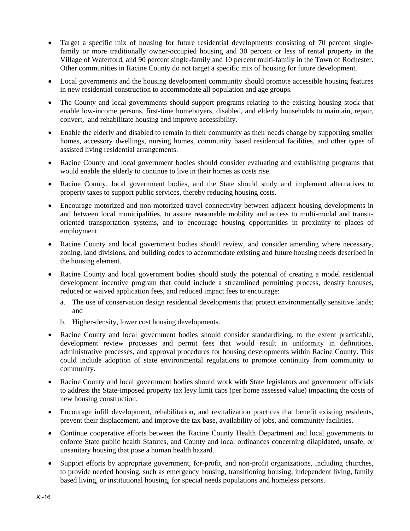- Target a specific mix of housing for future residential developments consisting of 70 percent singlefamily or more traditionally owner-occupied housing and 30 percent or less of rental property in the Village of Waterford, and 90 percent single-family and 10 percent multi-family in the Town of Rochester. Other communities in Racine County do not target a specific mix of housing for future development.
- Local governments and the housing development community should promote accessible housing features in new residential construction to accommodate all population and age groups.
- The County and local governments should support programs relating to the existing housing stock that enable low-income persons, first-time homebuyers, disabled, and elderly households to maintain, repair, convert, and rehabilitate housing and improve accessibility.
- Enable the elderly and disabled to remain in their community as their needs change by supporting smaller homes, accessory dwellings, nursing homes, community based residential facilities, and other types of assisted living residential arrangements.
- Racine County and local government bodies should consider evaluating and establishing programs that would enable the elderly to continue to live in their homes as costs rise.
- Racine County, local government bodies, and the State should study and implement alternatives to property taxes to support public services, thereby reducing housing costs.
- Encourage motorized and non-motorized travel connectivity between adjacent housing developments in and between local municipalities, to assure reasonable mobility and access to multi-modal and transitoriented transportation systems, and to encourage housing opportunities in proximity to places of employment.
- Racine County and local government bodies should review, and consider amending where necessary, zoning, land divisions, and building codes to accommodate existing and future housing needs described in the housing element.
- Racine County and local government bodies should study the potential of creating a model residential development incentive program that could include a streamlined permitting process, density bonuses, reduced or waived application fees, and reduced impact fees to encourage:
	- a. The use of conservation design residential developments that protect environmentally sensitive lands; and
	- b. Higher-density, lower cost housing developments.
- Racine County and local government bodies should consider standardizing, to the extent practicable, development review processes and permit fees that would result in uniformity in definitions, administrative processes, and approval procedures for housing developments within Racine County. This could include adoption of state environmental regulations to promote continuity from community to community.
- Racine County and local government bodies should work with State legislators and government officials to address the State-imposed property tax levy limit caps (per home assessed value) impacting the costs of new housing construction.
- Encourage infill development, rehabilitation, and revitalization practices that benefit existing residents, prevent their displacement, and improve the tax base, availability of jobs, and community facilities.
- Continue cooperative efforts between the Racine County Health Department and local governments to enforce State public health Statutes, and County and local ordinances concerning dilapidated, unsafe, or unsanitary housing that pose a human health hazard.
- Support efforts by appropriate government, for-profit, and non-profit organizations, including churches, to provide needed housing, such as emergency housing, transitioning housing, independent living, family based living, or institutional housing, for special needs populations and homeless persons.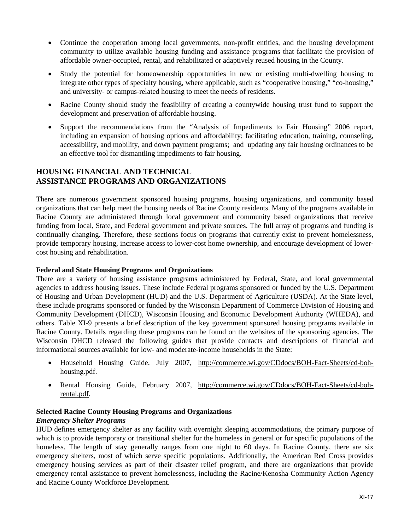- Continue the cooperation among local governments, non-profit entities, and the housing development community to utilize available housing funding and assistance programs that facilitate the provision of affordable owner-occupied, rental, and rehabilitated or adaptively reused housing in the County.
- Study the potential for homeownership opportunities in new or existing multi-dwelling housing to integrate other types of specialty housing, where applicable, such as "cooperative housing," "co-housing," and university- or campus-related housing to meet the needs of residents.
- Racine County should study the feasibility of creating a countywide housing trust fund to support the development and preservation of affordable housing.
- Support the recommendations from the "Analysis of Impediments to Fair Housing" 2006 report, including an expansion of housing options and affordability; facilitating education, training, counseling, accessibility, and mobility, and down payment programs; and updating any fair housing ordinances to be an effective tool for dismantling impediments to fair housing.

# **HOUSING FINANCIAL AND TECHNICAL ASSISTANCE PROGRAMS AND ORGANIZATIONS**

There are numerous government sponsored housing programs, housing organizations, and community based organizations that can help meet the housing needs of Racine County residents. Many of the programs available in Racine County are administered through local government and community based organizations that receive funding from local, State, and Federal government and private sources. The full array of programs and funding is continually changing. Therefore, these sections focus on programs that currently exist to prevent homelessness, provide temporary housing, increase access to lower-cost home ownership, and encourage development of lowercost housing and rehabilitation.

# **Federal and State Housing Programs and Organizations**

There are a variety of housing assistance programs administered by Federal, State, and local governmental agencies to address housing issues. These include Federal programs sponsored or funded by the U.S. Department of Housing and Urban Development (HUD) and the U.S. Department of Agriculture (USDA). At the State level, these include programs sponsored or funded by the Wisconsin Department of Commerce Division of Housing and Community Development (DHCD), Wisconsin Housing and Economic Development Authority (WHEDA), and others. Table XI-9 presents a brief description of the key government sponsored housing programs available in Racine County. Details regarding these programs can be found on the websites of the sponsoring agencies. The Wisconsin DHCD released the following guides that provide contacts and descriptions of financial and informational sources available for low- and moderate-income households in the State:

- Household Housing Guide, July 2007, http://commerce.wi.gov/CDdocs/BOH-Fact-Sheets/cd-bohhousing.pdf.
- Rental Housing Guide, February 2007, http://commerce.wi.gov/CDdocs/BOH-Fact-Sheets/cd-bohrental.pdf.

# **Selected Racine County Housing Programs and Organizations**

#### *Emergency Shelter Programs*

HUD defines emergency shelter as any facility with overnight sleeping accommodations, the primary purpose of which is to provide temporary or transitional shelter for the homeless in general or for specific populations of the homeless. The length of stay generally ranges from one night to 60 days. In Racine County, there are six emergency shelters, most of which serve specific populations. Additionally, the American Red Cross provides emergency housing services as part of their disaster relief program, and there are organizations that provide emergency rental assistance to prevent homelessness, including the Racine/Kenosha Community Action Agency and Racine County Workforce Development.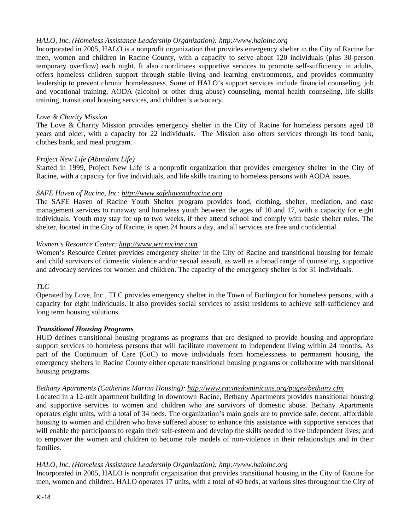# *HALO, Inc. (Homeless Assistance Leadership Organization): http://www.haloinc.org*

Incorporated in 2005, HALO is a nonprofit organization that provides emergency shelter in the City of Racine for men, women and children in Racine County, with a capacity to serve about 120 individuals (plus 30-person temporary overflow) each night. It also coordinates supportive services to promote self-sufficiency in adults, offers homeless children support through stable living and learning environments, and provides community leadership to prevent chronic homelessness. Some of HALO's support services include financial counseling, job and vocational training, AODA (alcohol or other drug abuse) counseling, mental health counseling, life skills training, transitional housing services, and children's advocacy.

#### *Love & Charity Mission*

The Love & Charity Mission provides emergency shelter in the City of Racine for homeless persons aged 18 years and older, with a capacity for 22 individuals. The Mission also offers services through its food bank, clothes bank, and meal program.

#### *Project New Life (Abundant Life)*

Started in 1999, Project New Life is a nonprofit organization that provides emergency shelter in the City of Racine, with a capacity for five individuals, and life skills training to homeless persons with AODA issues.

#### *SAFE Haven of Racine, Inc: http://www.safehavenofracine.org*

The SAFE Haven of Racine Youth Shelter program provides food, clothing, shelter, mediation, and case management services to runaway and homeless youth between the ages of 10 and 17, with a capacity for eight individuals. Youth may stay for up to two weeks, if they attend school and comply with basic shelter rules. The shelter, located in the City of Racine, is open 24 hours a day, and all services are free and confidential.

#### *Women's Resource Center: http://www.wrcracine.com*

Women's Resource Center provides emergency shelter in the City of Racine and transitional housing for female and child survivors of domestic violence and/or sexual assault, as well as a broad range of counseling, supportive and advocacy services for women and children. The capacity of the emergency shelter is for 31 individuals.

#### *TLC*

Operated by Love, Inc., TLC provides emergency shelter in the Town of Burlington for homeless persons, with a capacity for eight individuals. It also provides social services to assist residents to achieve self-sufficiency and long term housing solutions.

#### *Transitional Housing Programs*

HUD defines transitional housing programs as programs that are designed to provide housing and appropriate support services to homeless persons that will facilitate movement to independent living within 24 months. As part of the Continuum of Care (CoC) to move individuals from homelessness to permanent housing, the emergency shelters in Racine County either operate transitional housing programs or collaborate with transitional housing programs.

#### *Bethany Apartments (Catherine Marian Housing): http://www.racinedominicans.org/pages/bethany.cfm*

Located in a 12-unit apartment building in downtown Racine, Bethany Apartments provides transitional housing and supportive services to women and children who are survivors of domestic abuse. Bethany Apartments operates eight units, with a total of 34 beds. The organization's main goals are to provide safe, decent, affordable housing to women and children who have suffered abuse; to enhance this assistance with supportive services that will enable the participants to regain their self-esteem and develop the skills needed to live independent lives; and to empower the women and children to become role models of non-violence in their relationships and in their families.

#### *HALO, Inc. (Homeless Assistance Leadership Organization): http://www.haloinc.org*

Incorporated in 2005, HALO is nonprofit organization that provides transitional housing in the City of Racine for men, women and children. HALO operates 17 units, with a total of 40 beds, at various sites throughout the City of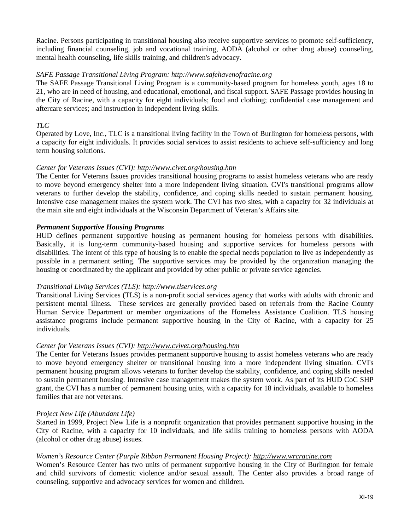Racine. Persons participating in transitional housing also receive supportive services to promote self-sufficiency, including financial counseling, job and vocational training, AODA (alcohol or other drug abuse) counseling, mental health counseling, life skills training, and children's advocacy.

#### *SAFE Passage Transitional Living Program: http://www.safehavenofracine.org*

The SAFE Passage Transitional Living Program is a community-based program for homeless youth, ages 18 to 21, who are in need of housing, and educational, emotional, and fiscal support. SAFE Passage provides housing in the City of Racine, with a capacity for eight individuals; food and clothing; confidential case management and aftercare services; and instruction in independent living skills.

#### *TLC*

Operated by Love, Inc., TLC is a transitional living facility in the Town of Burlington for homeless persons, with a capacity for eight individuals. It provides social services to assist residents to achieve self-sufficiency and long term housing solutions.

#### *Center for Veterans Issues (CVI): http://www.civet.org/housing.htm*

The Center for Veterans Issues provides transitional housing programs to assist homeless veterans who are ready to move beyond emergency shelter into a more independent living situation. CVI's transitional programs allow veterans to further develop the stability, confidence, and coping skills needed to sustain permanent housing. Intensive case management makes the system work. The CVI has two sites, with a capacity for 32 individuals at the main site and eight individuals at the Wisconsin Department of Veteran's Affairs site.

#### *Permanent Supportive Housing Programs*

HUD defines permanent supportive housing as permanent housing for homeless persons with disabilities. Basically, it is long-term community-based housing and supportive services for homeless persons with disabilities. The intent of this type of housing is to enable the special needs population to live as independently as possible in a permanent setting. The supportive services may be provided by the organization managing the housing or coordinated by the applicant and provided by other public or private service agencies.

#### *Transitional Living Services (TLS): http://www.tlservices.org*

Transitional Living Services (TLS) is a non-profit social services agency that works with adults with chronic and persistent mental illness. These services are generally provided based on referrals from the Racine County Human Service Department or member organizations of the Homeless Assistance Coalition. TLS housing assistance programs include permanent supportive housing in the City of Racine, with a capacity for 25 individuals.

#### *Center for Veterans Issues (CVI): http://www.cvivet.org/housing.htm*

The Center for Veterans Issues provides permanent supportive housing to assist homeless veterans who are ready to move beyond emergency shelter or transitional housing into a more independent living situation. CVI's permanent housing program allows veterans to further develop the stability, confidence, and coping skills needed to sustain permanent housing. Intensive case management makes the system work. As part of its HUD CoC SHP grant, the CVI has a number of permanent housing units, with a capacity for 18 individuals, available to homeless families that are not veterans.

#### *Project New Life (Abundant Life)*

Started in 1999, Project New Life is a nonprofit organization that provides permanent supportive housing in the City of Racine, with a capacity for 10 individuals, and life skills training to homeless persons with AODA (alcohol or other drug abuse) issues.

#### *Women's Resource Center (Purple Ribbon Permanent Housing Project): http://www.wrcracine.com*

Women's Resource Center has two units of permanent supportive housing in the City of Burlington for female and child survivors of domestic violence and/or sexual assault. The Center also provides a broad range of counseling, supportive and advocacy services for women and children.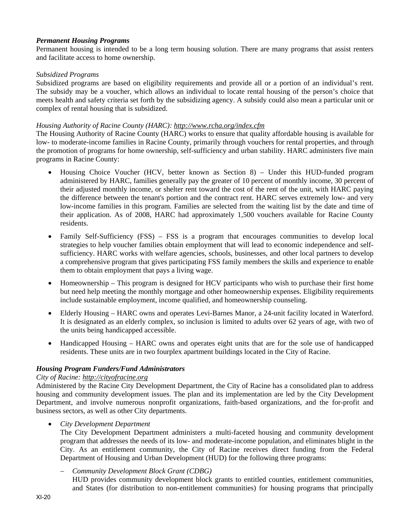## *Permanent Housing Programs*

Permanent housing is intended to be a long term housing solution. There are many programs that assist renters and facilitate access to home ownership.

### *Subsidized Programs*

Subsidized programs are based on eligibility requirements and provide all or a portion of an individual's rent. The subsidy may be a voucher, which allows an individual to locate rental housing of the person's choice that meets health and safety criteria set forth by the subsidizing agency. A subsidy could also mean a particular unit or complex of rental housing that is subsidized.

#### *Housing Authority of Racine County (HARC): http://www.rcha.org/index.cfm*

The Housing Authority of Racine County (HARC) works to ensure that quality affordable housing is available for low- to moderate-income families in Racine County, primarily through vouchers for rental properties, and through the promotion of programs for home ownership, self-sufficiency and urban stability. HARC administers five main programs in Racine County:

- Housing Choice Voucher (HCV, better known as Section 8) Under this HUD-funded program administered by HARC, families generally pay the greater of 10 percent of monthly income, 30 percent of their adjusted monthly income, or shelter rent toward the cost of the rent of the unit, with HARC paying the difference between the tenant's portion and the contract rent. HARC serves extremely low- and very low-income families in this program. Families are selected from the waiting list by the date and time of their application. As of 2008, HARC had approximately 1,500 vouchers available for Racine County residents.
- Family Self-Sufficiency (FSS) FSS is a program that encourages communities to develop local strategies to help voucher families obtain employment that will lead to economic independence and selfsufficiency. HARC works with welfare agencies, schools, businesses, and other local partners to develop a comprehensive program that gives participating FSS family members the skills and experience to enable them to obtain employment that pays a living wage.
- Homeownership This program is designed for HCV participants who wish to purchase their first home but need help meeting the monthly mortgage and other homeownership expenses. Eligibility requirements include sustainable employment, income qualified, and homeownership counseling.
- Elderly Housing HARC owns and operates Levi-Barnes Manor, a 24-unit facility located in Waterford. It is designated as an elderly complex, so inclusion is limited to adults over 62 years of age, with two of the units being handicapped accessible.
- Handicapped Housing HARC owns and operates eight units that are for the sole use of handicapped residents. These units are in two fourplex apartment buildings located in the City of Racine.

#### *Housing Program Funders/Fund Administrators*

#### *City of Racine: http://cityofracine.org*

Administered by the Racine City Development Department, the City of Racine has a consolidated plan to address housing and community development issues. The plan and its implementation are led by the City Development Department, and involve numerous nonprofit organizations, faith-based organizations, and the for-profit and business sectors, as well as other City departments.

*City Development Department* 

The City Development Department administers a multi-faceted housing and community development program that addresses the needs of its low- and moderate-income population, and eliminates blight in the City. As an entitlement community, the City of Racine receives direct funding from the Federal Department of Housing and Urban Development (HUD) for the following three programs:

*Community Development Block Grant (CDBG)* 

HUD provides community development block grants to entitled counties, entitlement communities, and States (for distribution to non-entitlement communities) for housing programs that principally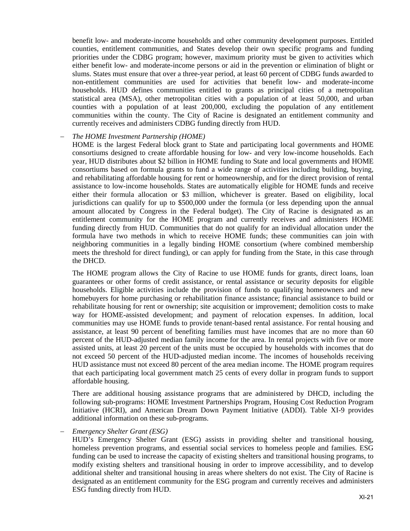benefit low- and moderate-income households and other community development purposes. Entitled counties, entitlement communities, and States develop their own specific programs and funding priorities under the CDBG program; however, maximum priority must be given to activities which either benefit low- and moderate-income persons or aid in the prevention or elimination of blight or slums. States must ensure that over a three-year period, at least 60 percent of CDBG funds awarded to non-entitlement communities are used for activities that benefit low- and moderate-income households. HUD defines communities entitled to grants as principal cities of a metropolitan statistical area (MSA), other metropolitan cities with a population of at least 50,000, and urban counties with a population of at least 200,000, excluding the population of any entitlement communities within the county. The City of Racine is designated an entitlement community and currently receives and administers CDBG funding directly from HUD.

#### *The HOME Investment Partnership (HOME)*

HOME is the largest Federal block grant to State and participating local governments and HOME consortiums designed to create affordable housing for low- and very low-income households. Each year, HUD distributes about \$2 billion in HOME funding to State and local governments and HOME consortiums based on formula grants to fund a wide range of activities including building, buying, and rehabilitating affordable housing for rent or homeownership, and for the direct provision of rental assistance to low-income households. States are automatically eligible for HOME funds and receive either their formula allocation or \$3 million, whichever is greater. Based on eligibility, local jurisdictions can qualify for up to \$500,000 under the formula (or less depending upon the annual amount allocated by Congress in the Federal budget). The City of Racine is designated as an entitlement community for the HOME program and currently receives and administers HOME funding directly from HUD. Communities that do not qualify for an individual allocation under the formula have two methods in which to receive HOME funds; these communities can join with neighboring communities in a legally binding HOME consortium (where combined membership meets the threshold for direct funding), or can apply for funding from the State, in this case through the DHCD.

The HOME program allows the City of Racine to use HOME funds for grants, direct loans, loan guarantees or other forms of credit assistance, or rental assistance or security deposits for eligible households. Eligible activities include the provision of funds to qualifying homeowners and new homebuyers for home purchasing or rehabilitation finance assistance; financial assistance to build or rehabilitate housing for rent or ownership; site acquisition or improvement; demolition costs to make way for HOME-assisted development; and payment of relocation expenses. In addition, local communities may use HOME funds to provide tenant-based rental assistance. For rental housing and assistance, at least 90 percent of benefiting families must have incomes that are no more than 60 percent of the HUD-adjusted median family income for the area. In rental projects with five or more assisted units, at least 20 percent of the units must be occupied by households with incomes that do not exceed 50 percent of the HUD-adjusted median income. The incomes of households receiving HUD assistance must not exceed 80 percent of the area median income. The HOME program requires that each participating local government match 25 cents of every dollar in program funds to support affordable housing.

There are additional housing assistance programs that are administered by DHCD, including the following sub-programs: HOME Investment Partnerships Program, Housing Cost Reduction Program Initiative (HCRI), and American Dream Down Payment Initiative (ADDI). Table XI-9 provides additional information on these sub-programs.

#### *Emergency Shelter Grant (ESG)*

HUD's Emergency Shelter Grant (ESG) assists in providing shelter and transitional housing, homeless prevention programs, and essential social services to homeless people and families. ESG funding can be used to increase the capacity of existing shelters and transitional housing programs, to modify existing shelters and transitional housing in order to improve accessibility, and to develop additional shelter and transitional housing in areas where shelters do not exist. The City of Racine is designated as an entitlement community for the ESG program and currently receives and administers ESG funding directly from HUD.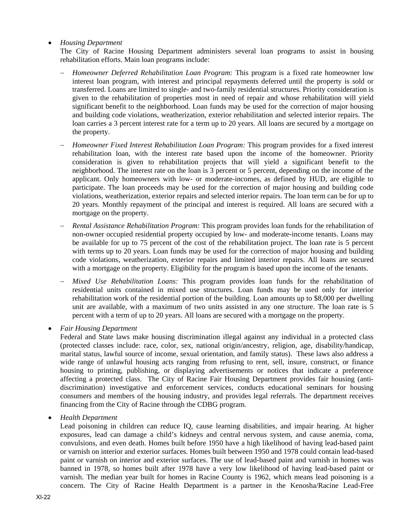# *Housing Department*

The City of Racine Housing Department administers several loan programs to assist in housing rehabilitation efforts. Main loan programs include:

- *Homeowner Deferred Rehabilitation Loan Program:* This program is a fixed rate homeowner low interest loan program, with interest and principal repayments deferred until the property is sold or transferred. Loans are limited to single- and two-family residential structures. Priority consideration is given to the rehabilitation of properties most in need of repair and whose rehabilitation will yield significant benefit to the neighborhood. Loan funds may be used for the correction of major housing and building code violations, weatherization, exterior rehabilitation and selected interior repairs. The loan carries a 3 percent interest rate for a term up to 20 years. All loans are secured by a mortgage on the property.
- *Homeowner Fixed Interest Rehabilitation Loan Program:* This program provides for a fixed interest rehabilitation loan, with the interest rate based upon the income of the homeowner. Priority consideration is given to rehabilitation projects that will yield a significant benefit to the neighborhood. The interest rate on the loan is 3 percent or 5 percent, depending on the income of the applicant. Only homeowners with low- or moderate-incomes, as defined by HUD, are eligible to participate. The loan proceeds may be used for the correction of major housing and building code violations, weatherization, exterior repairs and selected interior repairs. The loan term can be for up to 20 years. Monthly repayment of the principal and interest is required. All loans are secured with a mortgage on the property.
- *Rental Assistance Rehabilitation Program:* This program provides loan funds for the rehabilitation of non-owner occupied residential property occupied by low- and moderate-income tenants. Loans may be available for up to 75 percent of the cost of the rehabilitation project. The loan rate is 5 percent with terms up to 20 years. Loan funds may be used for the correction of major housing and building code violations, weatherization, exterior repairs and limited interior repairs. All loans are secured with a mortgage on the property. Eligibility for the program is based upon the income of the tenants.
- *Mixed Use Rehabilitation Loans:* This program provides loan funds for the rehabilitation of residential units contained in mixed use structures. Loan funds may be used only for interior rehabilitation work of the residential portion of the building. Loan amounts up to \$8,000 per dwelling unit are available, with a maximum of two units assisted in any one structure. The loan rate is 5 percent with a term of up to 20 years. All loans are secured with a mortgage on the property.

*Fair Housing Department* 

Federal and State laws make housing discrimination illegal against any individual in a protected class (protected classes include: race, color, sex, national origin/ancestry, religion, age, disability/handicap, marital status, lawful source of income, sexual orientation, and family status). These laws also address a wide range of unlawful housing acts ranging from refusing to rent, sell, insure, construct, or finance housing to printing, publishing, or displaying advertisements or notices that indicate a preference affecting a protected class. The City of Racine Fair Housing Department provides fair housing (antidiscrimination) investigative and enforcement services, conducts educational seminars for housing consumers and members of the housing industry, and provides legal referrals. The department receives financing from the City of Racine through the CDBG program.

*Health Department* 

Lead poisoning in children can reduce IQ, cause learning disabilities, and impair hearing. At higher exposures, lead can damage a child's kidneys and central nervous system, and cause anemia, coma, convulsions, and even death. Homes built before 1950 have a high likelihood of having lead-based paint or varnish on interior and exterior surfaces. Homes built between 1950 and 1978 could contain lead-based paint or varnish on interior and exterior surfaces. The use of lead-based paint and varnish in homes was banned in 1978, so homes built after 1978 have a very low likelihood of having lead-based paint or varnish. The median year built for homes in Racine County is 1962, which means lead poisoning is a concern. The City of Racine Health Department is a partner in the Kenosha/Racine Lead-Free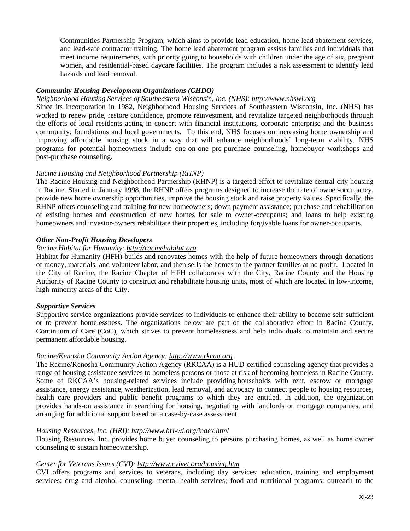Communities Partnership Program, which aims to provide lead education, home lead abatement services, and lead-safe contractor training. The home lead abatement program assists families and individuals that meet income requirements, with priority going to households with children under the age of six, pregnant women, and residential-based daycare facilities. The program includes a risk assessment to identify lead hazards and lead removal.

### *Community Housing Development Organizations (CHDO)*

#### *Neighborhood Housing Services of Southeastern Wisconsin, Inc. (NHS): http://www.nhswi.org*

Since its incorporation in 1982, Neighborhood Housing Services of Southeastern Wisconsin, Inc. (NHS) has worked to renew pride, restore confidence, promote reinvestment, and revitalize targeted neighborhoods through the efforts of local residents acting in concert with financial institutions, corporate enterprise and the business community, foundations and local governments. To this end, NHS focuses on increasing home ownership and improving affordable housing stock in a way that will enhance neighborhoods' long-term viability. NHS programs for potential homeowners include one-on-one pre-purchase counseling, homebuyer workshops and post-purchase counseling.

## *Racine Housing and Neighborhood Partnership (RHNP)*

The Racine Housing and Neighborhood Partnership (RHNP) is a targeted effort to revitalize central-city housing in Racine. Started in January 1998, the RHNP offers programs designed to increase the rate of owner-occupancy, provide new home ownership opportunities, improve the housing stock and raise property values. Specifically, the RHNP offers counseling and training for new homeowners; down payment assistance; purchase and rehabilitation of existing homes and construction of new homes for sale to owner-occupants; and loans to help existing homeowners and investor-owners rehabilitate their properties, including forgivable loans for owner-occupants.

## *Other Non-Profit Housing Developers*

# *Racine Habitat for Humanity: http://racinehabitat.org*

Habitat for Humanity (HFH) builds and renovates homes with the help of future homeowners through donations of money, materials, and volunteer labor, and then sells the homes to the partner families at no profit. Located in the City of Racine, the Racine Chapter of HFH collaborates with the City, Racine County and the Housing Authority of Racine County to construct and rehabilitate housing units, most of which are located in low-income, high-minority areas of the City.

#### *Supportive Services*

Supportive service organizations provide services to individuals to enhance their ability to become self-sufficient or to prevent homelessness. The organizations below are part of the collaborative effort in Racine County, Continuum of Care (CoC), which strives to prevent homelessness and help individuals to maintain and secure permanent affordable housing.

#### *Racine/Kenosha Community Action Agency: http://www.rkcaa.org*

The Racine/Kenosha Community Action Agency (RKCAA) is a HUD-certified counseling agency that provides a range of housing assistance services to homeless persons or those at risk of becoming homeless in Racine County. Some of RKCAA's housing-related services include providing households with rent, escrow or mortgage assistance, energy assistance, weatherization, lead removal, and advocacy to connect people to housing resources, health care providers and public benefit programs to which they are entitled. In addition, the organization provides hands-on assistance in searching for housing, negotiating with landlords or mortgage companies, and arranging for additional support based on a case-by-case assessment.

#### *Housing Resources, Inc. (HRI): http://www.hri-wi.org/index.html*

Housing Resources, Inc. provides home buyer counseling to persons purchasing homes, as well as home owner counseling to sustain homeownership.

### *Center for Veterans Issues (CVI): http://www.cvivet.org/housing.htm*

CVI offers programs and services to veterans, including day services; education, training and employment services; drug and alcohol counseling; mental health services; food and nutritional programs; outreach to the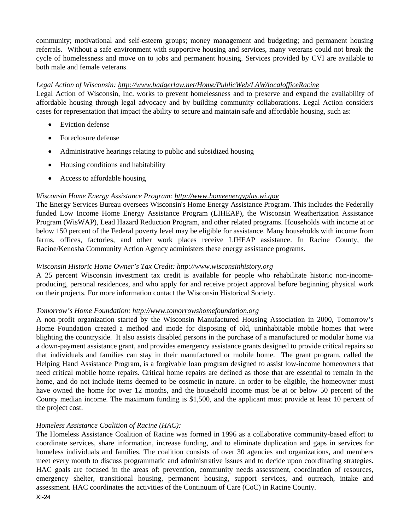community; motivational and self-esteem groups; money management and budgeting; and permanent housing referrals. Without a safe environment with supportive housing and services, many veterans could not break the cycle of homelessness and move on to jobs and permanent housing. Services provided by CVI are available to both male and female veterans.

### *Legal Action of Wisconsin: http://www.badgerlaw.net/Home/PublicWeb/LAW/localofficeRacine*

Legal Action of Wisconsin, Inc. works to prevent homelessness and to preserve and expand the availability of affordable housing through legal advocacy and by building community collaborations. Legal Action considers cases for representation that impact the ability to secure and maintain safe and affordable housing, such as:

- Eviction defense
- Foreclosure defense
- Administrative hearings relating to public and subsidized housing
- Housing conditions and habitability
- Access to affordable housing

# *Wisconsin Home Energy Assistance Program: http://www.homeenergyplus.wi.gov*

The Energy Services Bureau oversees Wisconsin's Home Energy Assistance Program. This includes the Federally funded Low Income Home Energy Assistance Program (LIHEAP), the Wisconsin Weatherization Assistance Program (WisWAP), Lead Hazard Reduction Program, and other related programs. Households with income at or below 150 percent of the Federal poverty level may be eligible for assistance. Many households with income from farms, offices, factories, and other work places receive LIHEAP assistance. In Racine County, the Racine/Kenosha Community Action Agency administers these energy assistance programs.

### *Wisconsin Historic Home Owner's Tax Credit: http://www.wisconsinhistory.org*

A 25 percent Wisconsin investment tax credit is available for people who rehabilitate historic non-incomeproducing, personal residences, and who apply for and receive project approval before beginning physical work on their projects. For more information contact the Wisconsin Historical Society.

#### *Tomorrow's Home Foundation: http://www.tomorrowshomefoundation.org*

A non-profit organization started by the Wisconsin Manufactured Housing Association in 2000, Tomorrow's Home Foundation created a method and mode for disposing of old, uninhabitable mobile homes that were blighting the countryside. It also assists disabled persons in the purchase of a manufactured or modular home via a down-payment assistance grant, and provides emergency assistance grants designed to provide critical repairs so that individuals and families can stay in their manufactured or mobile home. The grant program, called the Helping Hand Assistance Program, is a forgivable loan program designed to assist low-income homeowners that need critical mobile home repairs. Critical home repairs are defined as those that are essential to remain in the home, and do not include items deemed to be cosmetic in nature. In order to be eligible, the homeowner must have owned the home for over 12 months, and the household income must be at or below 50 percent of the County median income. The maximum funding is \$1,500, and the applicant must provide at least 10 percent of the project cost.

# *Homeless Assistance Coalition of Racine (HAC):*

The Homeless Assistance Coalition of Racine was formed in 1996 as a collaborative community-based effort to coordinate services, share information, increase funding, and to eliminate duplication and gaps in services for homeless individuals and families. The coalition consists of over 30 agencies and organizations, and members meet every month to discuss programmatic and administrative issues and to decide upon coordinating strategies. HAC goals are focused in the areas of: prevention, community needs assessment, coordination of resources, emergency shelter, transitional housing, permanent housing, support services, and outreach, intake and assessment. HAC coordinates the activities of the Continuum of Care (CoC) in Racine County.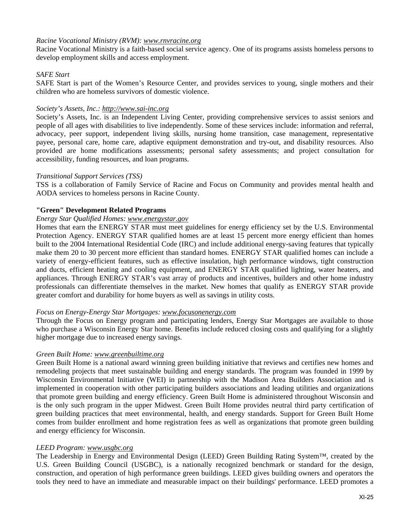## *Racine Vocational Ministry (RVM): www.rnvracine.org*

Racine Vocational Ministry is a faith-based social service agency. One of its programs assists homeless persons to develop employment skills and access employment.

## *SAFE Start*

SAFE Start is part of the Women's Resource Center, and provides services to young, single mothers and their children who are homeless survivors of domestic violence.

### *Society's Assets, Inc.: http://www.sai-inc.org*

Society's Assets, Inc. is an Independent Living Center, providing comprehensive services to assist seniors and people of all ages with disabilities to live independently. Some of these services include: information and referral, advocacy, peer support, independent living skills, nursing home transition, case management, representative payee, personal care, home care, adaptive equipment demonstration and try-out, and disability resources. Also provided are home modifications assessments; personal safety assessments; and project consultation for accessibility, funding resources, and loan programs.

#### *Transitional Support Services (TSS)*

TSS is a collaboration of Family Service of Racine and Focus on Community and provides mental health and AODA services to homeless persons in Racine County.

#### **"Green" Development Related Programs**

# *Energy Star Qualified Homes: www.energystar.gov*

Homes that earn the ENERGY STAR must meet guidelines for energy efficiency set by the U.S. Environmental Protection Agency. ENERGY STAR qualified homes are at least 15 percent more energy efficient than homes built to the 2004 International Residential Code (IRC) and include additional energy-saving features that typically make them 20 to 30 percent more efficient than standard homes. ENERGY STAR qualified homes can include a variety of energy-efficient features, such as effective insulation, high performance windows, tight construction and ducts, efficient heating and cooling equipment, and ENERGY STAR qualified lighting, water heaters, and appliances. Through ENERGY STAR's vast array of products and incentives, builders and other home industry professionals can differentiate themselves in the market. New homes that qualify as ENERGY STAR provide greater comfort and durability for home buyers as well as savings in utility costs.

#### *Focus on Energy-Energy Star Mortgages: www.focusonenergy.com*

Through the Focus on Energy program and participating lenders, Energy Star Mortgages are available to those who purchase a Wisconsin Energy Star home. Benefits include reduced closing costs and qualifying for a slightly higher mortgage due to increased energy savings.

#### *Green Built Home: www.greenbuiltime.org*

Green Built Home is a national award winning green building initiative that reviews and certifies new homes and remodeling projects that meet sustainable building and energy standards. The program was founded in 1999 by Wisconsin Environmental Initiative (WEI) in partnership with the Madison Area Builders Association and is implemented in cooperation with other participating builders associations and leading utilities and organizations that promote green building and energy efficiency. Green Built Home is administered throughout Wisconsin and is the only such program in the upper Midwest. Green Built Home provides neutral third party certification of green building practices that meet environmental, health, and energy standards. Support for Green Built Home comes from builder enrollment and home registration fees as well as organizations that promote green building and energy efficiency for Wisconsin.

### *LEED Program: www.usgbc.org*

The Leadership in Energy and Environmental Design (LEED) Green Building Rating System™, created by the U.S. Green Building Council (USGBC), is a nationally recognized benchmark or standard for the design, construction, and operation of high performance green buildings. LEED gives building owners and operators the tools they need to have an immediate and measurable impact on their buildings' performance. LEED promotes a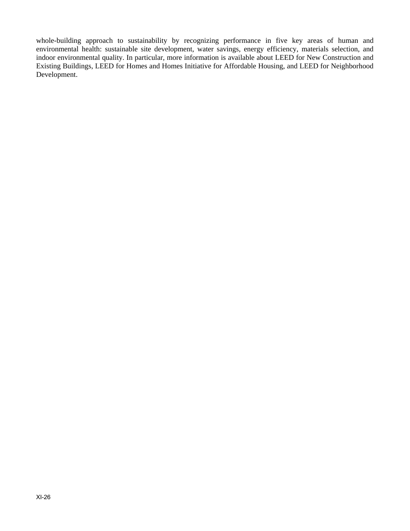whole-building approach to sustainability by recognizing performance in five key areas of human and environmental health: sustainable site development, water savings, energy efficiency, materials selection, and indoor environmental quality. In particular, more information is available about LEED for New Construction and Existing Buildings, LEED for Homes and Homes Initiative for Affordable Housing, and LEED for Neighborhood Development.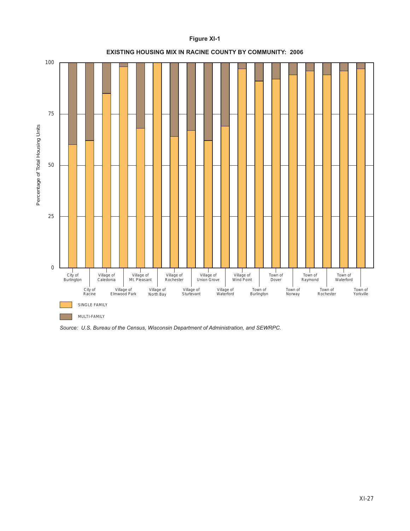

**Figure XI-1**

*Source: U.S. Bureau of the Census, Wisconsin Department of Administration, and SEWRPC.*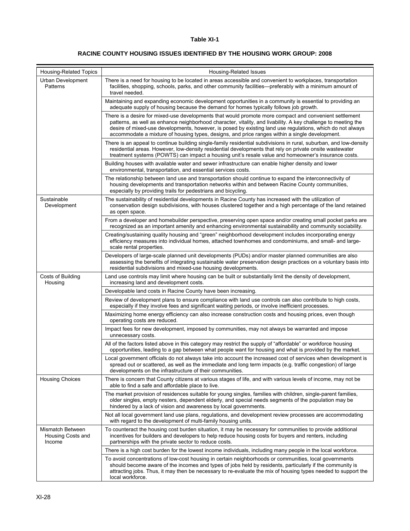#### **RACINE COUNTY HOUSING ISSUES IDENTIFIED BY THE HOUSING WORK GROUP: 2008**

| <b>Housing-Related Topics</b>                   | Housing-Related Issues                                                                                                                                                                                                                                                                                                                                                                                                                 |
|-------------------------------------------------|----------------------------------------------------------------------------------------------------------------------------------------------------------------------------------------------------------------------------------------------------------------------------------------------------------------------------------------------------------------------------------------------------------------------------------------|
| Urban Development<br>Patterns                   | There is a need for housing to be located in areas accessible and convenient to workplaces, transportation<br>facilities, shopping, schools, parks, and other community facilities—preferably with a minimum amount of<br>travel needed.                                                                                                                                                                                               |
|                                                 | Maintaining and expanding economic development opportunities in a community is essential to providing an<br>adequate supply of housing because the demand for homes typically follows job growth.                                                                                                                                                                                                                                      |
|                                                 | There is a desire for mixed-use developments that would promote more compact and convenient settlement<br>patterns, as well as enhance neighborhood character, vitality, and livability. A key challenge to meeting the<br>desire of mixed-use developments, however, is posed by existing land use regulations, which do not always<br>accommodate a mixture of housing types, designs, and price ranges within a single development. |
|                                                 | There is an appeal to continue building single-family residential subdivisions in rural, suburban, and low-density<br>residential areas. However, low-density residential developments that rely on private onsite wastewater<br>treatment systems (POWTS) can impact a housing unit's resale value and homeowner's insurance costs.                                                                                                   |
|                                                 | Building houses with available water and sewer infrastructure can enable higher density and lower<br>environmental, transportation, and essential services costs.                                                                                                                                                                                                                                                                      |
|                                                 | The relationship between land use and transportation should continue to expand the interconnectivity of<br>housing developments and transportation networks within and between Racine County communities,<br>especially by providing trails for pedestrians and bicycling.                                                                                                                                                             |
| Sustainable<br>Development                      | The sustainability of residential developments in Racine County has increased with the utilization of<br>conservation design subdivisions, with houses clustered together and a high percentage of the land retained<br>as open space.                                                                                                                                                                                                 |
|                                                 | From a developer and homebuilder perspective, preserving open space and/or creating small pocket parks are<br>recognized as an important amenity and enhancing environmental sustainability and community sociability.                                                                                                                                                                                                                 |
|                                                 | Creating/sustaining quality housing and "green" neighborhood development includes incorporating energy<br>efficiency measures into individual homes, attached townhomes and condominiums, and small- and large-<br>scale rental properties.                                                                                                                                                                                            |
|                                                 | Developers of large-scale planned unit developments (PUDs) and/or master planned communities are also<br>assessing the benefits of integrating sustainable water preservation design practices on a voluntary basis into<br>residential subdivisions and mixed-use housing developments.                                                                                                                                               |
| Costs of Building<br>Housing                    | Land use controls may limit where housing can be built or substantially limit the density of development,<br>increasing land and development costs.                                                                                                                                                                                                                                                                                    |
|                                                 | Developable land costs in Racine County have been increasing.                                                                                                                                                                                                                                                                                                                                                                          |
|                                                 | Review of development plans to ensure compliance with land use controls can also contribute to high costs,<br>especially if they involve fees and significant waiting periods, or involve inefficient processes.                                                                                                                                                                                                                       |
|                                                 | Maximizing home energy efficiency can also increase construction costs and housing prices, even though<br>operating costs are reduced.                                                                                                                                                                                                                                                                                                 |
|                                                 | Impact fees for new development, imposed by communities, may not always be warranted and impose<br>unnecessary costs.                                                                                                                                                                                                                                                                                                                  |
|                                                 | All of the factors listed above in this category may restrict the supply of "affordable" or workforce housing<br>opportunities, leading to a gap between what people want for housing and what is provided by the market.                                                                                                                                                                                                              |
|                                                 | Local government officials do not always take into account the increased cost of services when development is<br>spread out or scattered, as well as the immediate and long term impacts (e.g. traffic congestion) of large<br>developments on the infrastructure of their communities.                                                                                                                                                |
| Housing Choices                                 | There is concern that County citizens at various stages of life, and with various levels of income, may not be<br>able to find a safe and affordable place to live.                                                                                                                                                                                                                                                                    |
|                                                 | The market provision of residences suitable for young singles, families with children, single-parent families,<br>older singles, empty nesters, dependent elderly, and special needs segments of the population may be<br>hindered by a lack of vision and awareness by local governments.                                                                                                                                             |
|                                                 | Not all local government land use plans, regulations, and development review processes are accommodating<br>with regard to the development of multi-family housing units.                                                                                                                                                                                                                                                              |
| Mismatch Between<br>Housing Costs and<br>Income | To counteract the housing cost burden situation, it may be necessary for communities to provide additional<br>incentives for builders and developers to help reduce housing costs for buyers and renters, including<br>partnerships with the private sector to reduce costs.                                                                                                                                                           |
|                                                 | There is a high cost burden for the lowest income individuals, including many people in the local workforce.                                                                                                                                                                                                                                                                                                                           |
|                                                 | To avoid concentrations of low-cost housing in certain neighborhoods or communities, local governments<br>should become aware of the incomes and types of jobs held by residents, particularly if the community is<br>attracting jobs. Thus, it may then be necessary to re-evaluate the mix of housing types needed to support the<br>local workforce.                                                                                |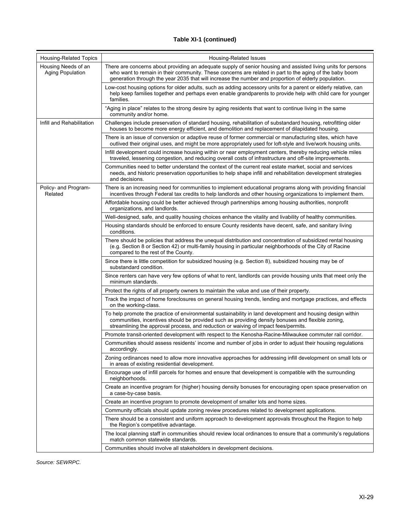| <b>Housing-Related Topics</b>           | Housing-Related Issues                                                                                                                                                                                                                                                                                                           |
|-----------------------------------------|----------------------------------------------------------------------------------------------------------------------------------------------------------------------------------------------------------------------------------------------------------------------------------------------------------------------------------|
| Housing Needs of an<br>Aging Population | There are concerns about providing an adequate supply of senior housing and assisted living units for persons<br>who want to remain in their community. These concerns are related in part to the aging of the baby boom<br>generation through the year 2035 that will increase the number and proportion of elderly population. |
|                                         | Low-cost housing options for older adults, such as adding accessory units for a parent or elderly relative, can<br>help keep families together and perhaps even enable grandparents to provide help with child care for younger<br>families.                                                                                     |
|                                         | "Aging in place" relates to the strong desire by aging residents that want to continue living in the same<br>community and/or home.                                                                                                                                                                                              |
| Infill and Rehabilitation               | Challenges include preservation of standard housing, rehabilitation of substandard housing, retrofitting older<br>houses to become more energy efficient, and demolition and replacement of dilapidated housing.                                                                                                                 |
|                                         | There is an issue of conversion or adaptive reuse of former commercial or manufacturing sites, which have<br>outlived their original uses, and might be more appropriately used for loft-style and live/work housing units.                                                                                                      |
|                                         | Infill development could increase housing within or near employment centers, thereby reducing vehicle miles<br>traveled, lessening congestion, and reducing overall costs of infrastructure and off-site improvements.                                                                                                           |
|                                         | Communities need to better understand the context of the current real estate market, social and services<br>needs, and historic preservation opportunities to help shape infill and rehabilitation development strategies<br>and decisions.                                                                                      |
| Policy- and Program-<br>Related         | There is an increasing need for communities to implement educational programs along with providing financial<br>incentives through Federal tax credits to help landlords and other housing organizations to implement them.                                                                                                      |
|                                         | Affordable housing could be better achieved through partnerships among housing authorities, nonprofit<br>organizations, and landlords.                                                                                                                                                                                           |
|                                         | Well-designed, safe, and quality housing choices enhance the vitality and livability of healthy communities.                                                                                                                                                                                                                     |
|                                         | Housing standards should be enforced to ensure County residents have decent, safe, and sanitary living<br>conditions.                                                                                                                                                                                                            |
|                                         | There should be policies that address the unequal distribution and concentration of subsidized rental housing<br>(e.g. Section 8 or Section 42) or multi-family housing in particular neighborhoods of the City of Racine<br>compared to the rest of the County.                                                                 |
|                                         | Since there is little competition for subsidized housing (e.g. Section 8), subsidized housing may be of<br>substandard condition.                                                                                                                                                                                                |
|                                         | Since renters can have very few options of what to rent, landlords can provide housing units that meet only the<br>minimum standards.                                                                                                                                                                                            |
|                                         | Protect the rights of all property owners to maintain the value and use of their property.                                                                                                                                                                                                                                       |
|                                         | Track the impact of home foreclosures on general housing trends, lending and mortgage practices, and effects<br>on the working-class.                                                                                                                                                                                            |
|                                         | To help promote the practice of environmental sustainability in land development and housing design within<br>communities, incentives should be provided such as providing density bonuses and flexible zoning.<br>streamlining the approval process, and reduction or waiving of impact fees/permits.                           |
|                                         | Promote transit-oriented development with respect to the Kenosha-Racine-Milwaukee commuter rail corridor.                                                                                                                                                                                                                        |
|                                         | Communities should assess residents' income and number of jobs in order to adjust their housing regulations<br>accordingly.                                                                                                                                                                                                      |
|                                         | Zoning ordinances need to allow more innovative approaches for addressing infill development on small lots or<br>in areas of existing residential development.                                                                                                                                                                   |
|                                         | Encourage use of infill parcels for homes and ensure that development is compatible with the surrounding<br>neighborhoods.                                                                                                                                                                                                       |
|                                         | Create an incentive program for (higher) housing density bonuses for encouraging open space preservation on<br>a case-by-case basis.                                                                                                                                                                                             |
|                                         | Create an incentive program to promote development of smaller lots and home sizes.                                                                                                                                                                                                                                               |
|                                         | Community officials should update zoning review procedures related to development applications.                                                                                                                                                                                                                                  |
|                                         | There should be a consistent and uniform approach to development approvals throughout the Region to help<br>the Region's competitive advantage.                                                                                                                                                                                  |
|                                         | The local planning staff in communities should review local ordinances to ensure that a community's regulations<br>match common statewide standards.                                                                                                                                                                             |
|                                         | Communities should involve all stakeholders in development decisions.                                                                                                                                                                                                                                                            |

*Source: SEWRPC.*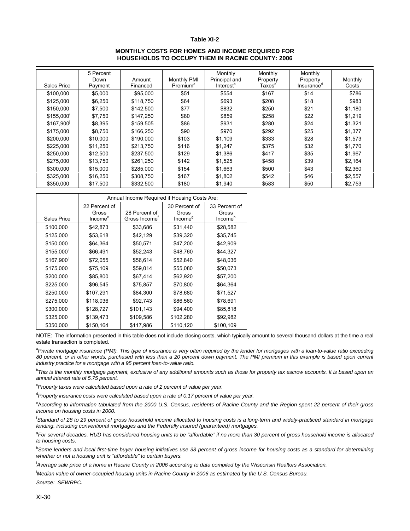#### **MONTHLY COSTS FOR HOMES AND INCOME REQUIRED FOR HOUSEHOLDS TO OCCUPY THEM IN RACINE COUNTY: 2006**

|             | 5 Percent<br>Down | Amount    | <b>Monthly PMI</b>   | Monthly<br>Principal and | Monthly<br>Property | Monthly<br>Property    | Monthly |
|-------------|-------------------|-----------|----------------------|--------------------------|---------------------|------------------------|---------|
| Sales Price | Payment           | Financed  | Premium <sup>a</sup> | Interest <sup>b</sup>    | Taxes <sup>c</sup>  | Insurance <sup>d</sup> | Costs   |
| \$100,000   | \$5,000           | \$95,000  | \$51                 | \$554                    | \$167               | \$14                   | \$786   |
| \$125,000   | \$6,250           | \$118,750 | \$64                 | \$693                    | \$208               | \$18                   | \$983   |
| \$150,000   | \$7,500           | \$142,500 | \$77                 | \$832                    | \$250               | \$21                   | \$1,180 |
| \$155,000   | \$7,750           | \$147,250 | \$80                 | \$859                    | \$258               | \$22                   | \$1,219 |
| \$167.900   | \$8,395           | \$159,505 | \$86                 | \$931                    | \$280               | \$24                   | \$1,321 |
| \$175,000   | \$8,750           | \$166,250 | \$90                 | \$970                    | \$292               | \$25                   | \$1,377 |
| \$200,000   | \$10,000          | \$190,000 | \$103                | \$1,109                  | \$333               | \$28                   | \$1,573 |
| \$225,000   | \$11,250          | \$213,750 | \$116                | \$1,247                  | \$375               | \$32                   | \$1,770 |
| \$250,000   | \$12,500          | \$237,500 | \$129                | \$1,386                  | \$417               | \$35                   | \$1,967 |
| \$275,000   | \$13,750          | \$261,250 | \$142                | \$1,525                  | \$458               | \$39                   | \$2,164 |
| \$300,000   | \$15,000          | \$285,000 | \$154                | \$1,663                  | \$500               | \$43                   | \$2,360 |
| \$325,000   | \$16,250          | \$308,750 | \$167                | \$1,802                  | \$542               | \$46                   | \$2,557 |
| \$350,000   | \$17,500          | \$332,500 | \$180                | \$1,940                  | \$583               | \$50                   | \$2,753 |

|             | Annual Income Required if Housing Costs Are:  |                                            |                                               |                                               |  |  |  |
|-------------|-----------------------------------------------|--------------------------------------------|-----------------------------------------------|-----------------------------------------------|--|--|--|
| Sales Price | 22 Percent of<br>Gross<br>Income <sup>e</sup> | 28 Percent of<br>Gross Income <sup>r</sup> | 30 Percent of<br>Gross<br>Income <sup>9</sup> | 33 Percent of<br>Gross<br>Income <sup>h</sup> |  |  |  |
| \$100,000   | \$42,873                                      | \$33,686                                   | \$31,440                                      | \$28,582                                      |  |  |  |
| \$125,000   | \$53,618                                      | \$42,129                                   | \$39,320                                      | \$35,745                                      |  |  |  |
| \$150,000   | \$64,364                                      | \$50,571                                   | \$47,200                                      | \$42,909                                      |  |  |  |
| \$155,000   | \$66,491                                      | \$52,243                                   | \$48,760                                      | \$44,327                                      |  |  |  |
| \$167,900   | \$72,055                                      | \$56,614                                   | \$52,840                                      | \$48,036                                      |  |  |  |
| \$175,000   | \$75,109                                      | \$59,014                                   | \$55,080                                      | \$50,073                                      |  |  |  |
| \$200,000   | \$85,800                                      | \$67,414                                   | \$62,920                                      | \$57,200                                      |  |  |  |
| \$225,000   | \$96,545                                      | \$75,857                                   | \$70,800                                      | \$64,364                                      |  |  |  |
| \$250,000   | \$107,291                                     | \$84,300                                   | \$78,680                                      | \$71,527                                      |  |  |  |
| \$275,000   | \$118,036                                     | \$92,743                                   | \$86,560                                      | \$78,691                                      |  |  |  |
| \$300,000   | \$128,727                                     | \$101,143                                  | \$94,400                                      | \$85,818                                      |  |  |  |
| \$325,000   | \$139,473                                     | \$109,586                                  | \$102,280                                     | \$92,982                                      |  |  |  |
| \$350,000   | \$150,164                                     | \$117,986                                  | \$110,120                                     | \$100,109                                     |  |  |  |

NOTE: The information presented in this table does not include closing costs, which typically amount to several thousand dollars at the time a real estate transaction is completed.

<sup>a</sup> Private mortgage insurance (PMI). This type of insurance is very often required by the lender for mortgages with a loan-to-value ratio exceeding *80 percent, or in other words, purchased with less than a 20 percent down payment. The PMI premium in this example is based upon current industry practice for a mortgage with a 95 percent loan-to-value ratio.* 

b *This is the monthly mortgage payment, exclusive of any additional amounts such as those for property tax escrow accounts. It is based upon an annual interest rate of 5.75 percent.* 

<sup>c</sup> Property taxes were calculated based upon a rate of 2 percent of value per year.

<sup>d</sup> Property insurance costs were calculated based upon a rate of 0.17 percent of value per year.

e A*ccording to information tabulated from the 2000 U.S. Census, residents of Racine County and the Region spent 22 percent of their gross income on housing costs in 2000.* 

f *Standard of 28 to 29 percent of gross household income allocated to housing costs is a long-term and widely-practiced standard in mortgage lending, including conventional mortgages and the Federally insured (guaranteed) mortgages.* 

<sup>9</sup> For several decades, HUD has considered housing units to be "affordable" if no more than 30 percent of gross household income is allocated *to housing costs.* 

<sup>h</sup> Some lenders and local first-time buyer housing initiatives use 33 percent of gross income for housing costs as a standard for determining *whether or not a housing unit is "affordable" to certain buyers.* 

<sup>i</sup> Average sale price of a home in Racine County in 2006 according to data compiled by the Wisconsin Realtors Association.

j *Median value of owner-occupied housing units in Racine County in 2006 as estimated by the U.S. Census Bureau. Source: SEWRPC.*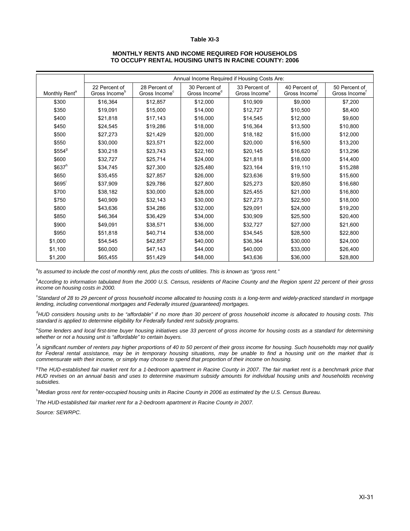#### **MONTHLY RENTS AND INCOME REQUIRED FOR HOUSEHOLDS TO OCCUPY RENTAL HOUSING UNITS IN RACINE COUNTY: 2006**

|                           | Annual Income Required if Housing Costs Are: |                                            |                                            |                                            |                                            |                                            |  |  |
|---------------------------|----------------------------------------------|--------------------------------------------|--------------------------------------------|--------------------------------------------|--------------------------------------------|--------------------------------------------|--|--|
| Monthly Rent <sup>a</sup> | 22 Percent of<br>Gross Income <sup>b</sup>   | 28 Percent of<br>Gross Income <sup>c</sup> | 30 Percent of<br>Gross Income <sup>d</sup> | 33 Percent of<br>Gross Income <sup>e</sup> | 40 Percent of<br>Gross Income <sup>f</sup> | 50 Percent of<br>Gross Income <sup>f</sup> |  |  |
| \$300                     | \$16,364                                     | \$12,857                                   | \$12,000                                   | \$10,909                                   | \$9,000                                    | \$7,200                                    |  |  |
| \$350                     | \$19,091                                     | \$15,000                                   | \$14,000                                   | \$12,727                                   | \$10,500                                   | \$8,400                                    |  |  |
| \$400                     | \$21,818                                     | \$17,143                                   | \$16,000                                   | \$14,545                                   | \$12,000                                   | \$9,600                                    |  |  |
| \$450                     | \$24,545                                     | \$19,286                                   | \$18,000                                   | \$16,364                                   | \$13,500                                   | \$10,800                                   |  |  |
| \$500                     | \$27,273                                     | \$21,429                                   | \$20,000                                   | \$18,182                                   | \$15,000                                   | \$12,000                                   |  |  |
| \$550                     | \$30,000                                     | \$23,571                                   | \$22,000                                   | \$20,000                                   | \$16,500                                   | \$13,200                                   |  |  |
| \$554 <sup>9</sup>        | \$30,218                                     | \$23,743                                   | \$22,160                                   | \$20,145                                   | \$16,620                                   | \$13,296                                   |  |  |
| \$600                     | \$32,727                                     | \$25,714                                   | \$24,000                                   | \$21,818                                   | \$18,000                                   | \$14,400                                   |  |  |
| \$637 <sup>h</sup>        | \$34,745                                     | \$27,300                                   | \$25,480                                   | \$23,164                                   | \$19,110                                   | \$15,288                                   |  |  |
| \$650                     | \$35,455                                     | \$27,857                                   | \$26,000                                   | \$23,636                                   | \$19,500                                   | \$15,600                                   |  |  |
| \$695 <sup>i</sup>        | \$37,909                                     | \$29,786                                   | \$27,800                                   | \$25,273                                   | \$20,850                                   | \$16,680                                   |  |  |
| \$700                     | \$38,182                                     | \$30,000                                   | \$28,000                                   | \$25,455                                   | \$21,000                                   | \$16,800                                   |  |  |
| \$750                     | \$40,909                                     | \$32,143                                   | \$30,000                                   | \$27,273                                   | \$22,500                                   | \$18,000                                   |  |  |
| \$800                     | \$43,636                                     | \$34,286                                   | \$32,000                                   | \$29,091                                   | \$24,000                                   | \$19,200                                   |  |  |
| \$850                     | \$46,364                                     | \$36,429                                   | \$34,000                                   | \$30,909                                   | \$25,500                                   | \$20,400                                   |  |  |
| \$900                     | \$49,091                                     | \$38,571                                   | \$36,000                                   | \$32,727                                   | \$27,000                                   | \$21,600                                   |  |  |
| \$950                     | \$51,818                                     | \$40,714                                   | \$38,000                                   | \$34,545                                   | \$28,500                                   | \$22,800                                   |  |  |
| \$1,000                   | \$54,545                                     | \$42,857                                   | \$40,000                                   | \$36,364                                   | \$30,000                                   | \$24,000                                   |  |  |
| \$1,100                   | \$60,000                                     | \$47,143                                   | \$44,000                                   | \$40,000                                   | \$33,000                                   | \$26,400                                   |  |  |
| \$1,200                   | \$65,455                                     | \$51,429                                   | \$48,000                                   | \$43,636                                   | \$36,000                                   | \$28,800                                   |  |  |

<sup>a</sup> Is assumed to include the cost of monthly rent, plus the costs of utilities. This is known as "gross rent."

b *According to information tabulated from the 2000 U.S. Census, residents of Racine County and the Region spent 22 percent of their gross income on housing costs in 2000.* 

<sup>c</sup> Standard of 28 to 29 percent of gross household income allocated to housing costs is a long-term and widely-practiced standard in mortgage *lending, including conventional mortgages and Federally insured (guaranteed) mortgages.* 

d *HUD considers housing units to be "affordable" if no more than 30 percent of gross household income is allocated to housing costs. This standard is applied to determine eligibility for Federally funded rent subsidy programs.* 

e *Some lenders and local first-time buyer housing initiatives use 33 percent of gross income for housing costs as a standard for determining whether or not a housing unit is "affordable" to certain buyers.* 

f *A significant number of renters pay higher proportions of 40 to 50 percent of their gross income for housing. Such households may not qualify for Federal rental assistance, may be in temporary housing situations, may be unable to find a housing unit on the market that is commensurate with their income, or simply may choose to spend that proportion of their income on housing.* 

<sup>9</sup>The HUD-established fair market rent for a 1-bedroom apartment in Racine County in 2007. The fair market rent is a benchmark price that *HUD revises on an annual basis and uses to determine maximum subsidy amounts for individual housing units and households receiving subsidies.* 

h *Median gross rent for renter-occupied housing units in Racine County in 2006 as estimated by the U.S. Census Bureau.* 

i *The HUD-established fair market rent for a 2-bedroom apartment in Racine County in 2007.* 

*Source: SEWRPC.*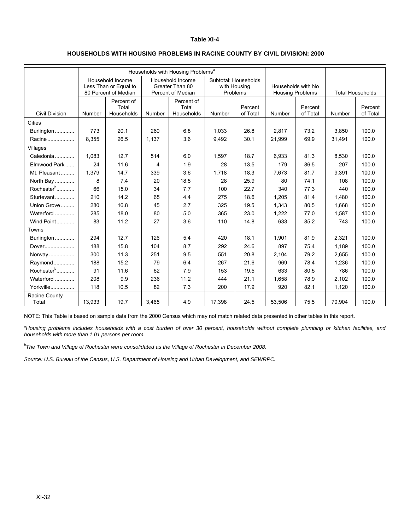#### **HOUSEHOLDS WITH HOUSING PROBLEMS IN RACINE COUNTY BY CIVIL DIVISION: 2000**

|                        | Households with Housing Problems <sup>a</sup> |                                           |                         |                                     |                                      |                     |                         |                     |                         |                     |
|------------------------|-----------------------------------------------|-------------------------------------------|-------------------------|-------------------------------------|--------------------------------------|---------------------|-------------------------|---------------------|-------------------------|---------------------|
|                        |                                               | Household Income<br>Less Than or Equal to |                         | Household Income<br>Greater Than 80 | Subtotal: Households<br>with Housing |                     | Households with No      |                     |                         |                     |
|                        |                                               | 80 Percent of Median                      |                         | Percent of Median                   | Problems                             |                     | <b>Housing Problems</b> |                     | <b>Total Households</b> |                     |
| <b>Civil Division</b>  | Number                                        | Percent of<br>Total<br>Households         | Number                  | Percent of<br>Total<br>Households   | Number                               | Percent<br>of Total | Number                  | Percent<br>of Total | Number                  | Percent<br>of Total |
| <b>Cities</b>          |                                               |                                           |                         |                                     |                                      |                     |                         |                     |                         |                     |
| Burlington             | 773                                           | 20.1                                      | 260                     | 6.8                                 | 1,033                                | 26.8                | 2,817                   | 73.2                | 3,850                   | 100.0               |
| Racine                 | 8,355                                         | 26.5                                      | 1,137                   | 3.6                                 | 9,492                                | 30.1                | 21,999                  | 69.9                | 31,491                  | 100.0               |
| Villages               |                                               |                                           |                         |                                     |                                      |                     |                         |                     |                         |                     |
| Caledonia              | 1,083                                         | 12.7                                      | 514                     | 6.0                                 | 1,597                                | 18.7                | 6,933                   | 81.3                | 8,530                   | 100.0               |
| Elmwood Park           | 24                                            | 11.6                                      | $\overline{\mathbf{4}}$ | 1.9                                 | 28                                   | 13.5                | 179                     | 86.5                | 207                     | 100.0               |
| Mt. Pleasant           | 1,379                                         | 14.7                                      | 339                     | 3.6                                 | 1,718                                | 18.3                | 7,673                   | 81.7                | 9,391                   | 100.0               |
| North Bay              | 8                                             | 7.4                                       | 20                      | 18.5                                | 28                                   | 25.9                | 80                      | 74.1                | 108                     | 100.0               |
| Rochester <sup>b</sup> | 66                                            | 15.0                                      | 34                      | 7.7                                 | 100                                  | 22.7                | 340                     | 77.3                | 440                     | 100.0               |
| Sturtevant             | 210                                           | 14.2                                      | 65                      | 4.4                                 | 275                                  | 18.6                | 1.205                   | 81.4                | 1,480                   | 100.0               |
| Union Grove            | 280                                           | 16.8                                      | 45                      | 2.7                                 | 325                                  | 19.5                | 1,343                   | 80.5                | 1,668                   | 100.0               |
| Waterford              | 285                                           | 18.0                                      | 80                      | 5.0                                 | 365                                  | 23.0                | 1,222                   | 77.0                | 1,587                   | 100.0               |
| Wind Point             | 83                                            | 11.2                                      | 27                      | 3.6                                 | 110                                  | 14.8                | 633                     | 85.2                | 743                     | 100.0               |
| Towns                  |                                               |                                           |                         |                                     |                                      |                     |                         |                     |                         |                     |
| Burlington             | 294                                           | 12.7                                      | 126                     | 5.4                                 | 420                                  | 18.1                | 1,901                   | 81.9                | 2,321                   | 100.0               |
| Dover                  | 188                                           | 15.8                                      | 104                     | 8.7                                 | 292                                  | 24.6                | 897                     | 75.4                | 1.189                   | 100.0               |
| Norway                 | 300                                           | 11.3                                      | 251                     | 9.5                                 | 551                                  | 20.8                | 2,104                   | 79.2                | 2,655                   | 100.0               |
| Raymond                | 188                                           | 15.2                                      | 79                      | 6.4                                 | 267                                  | 21.6                | 969                     | 78.4                | 1,236                   | 100.0               |
| Rochester <sup>b</sup> | 91                                            | 11.6                                      | 62                      | 7.9                                 | 153                                  | 19.5                | 633                     | 80.5                | 786                     | 100.0               |
| Waterford              | 208                                           | 9.9                                       | 236                     | 11.2                                | 444                                  | 21.1                | 1,658                   | 78.9                | 2,102                   | 100.0               |
| Yorkville              | 118                                           | 10.5                                      | 82                      | 7.3                                 | 200                                  | 17.9                | 920                     | 82.1                | 1,120                   | 100.0               |
| Racine County<br>Total | 13,933                                        | 19.7                                      | 3,465                   | 4.9                                 | 17,398                               | 24.5                | 53,506                  | 75.5                | 70,904                  | 100.0               |

NOTE: This Table is based on sample data from the 2000 Census which may not match related data presented in other tables in this report.

a *Housing problems includes households with a cost burden of over 30 percent, households without complete plumbing or kitchen facilities, and households with more than 1.01 persons per room.* 

*b The Town and Village of Rochester were consolidated as the Village of Rochester in December 2008.* 

*Source: U.S. Bureau of the Census, U.S. Department of Housing and Urban Development, and SEWRPC.*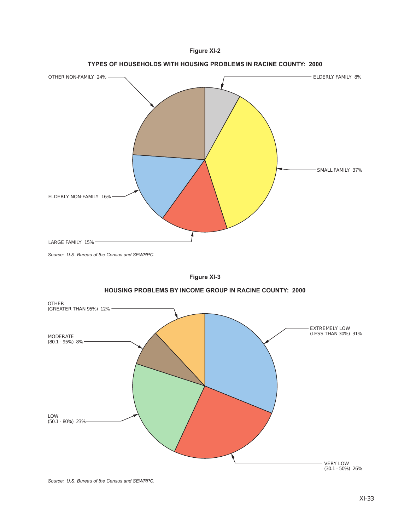











*Source: U.S. Bureau of the Census and SEWRPC.*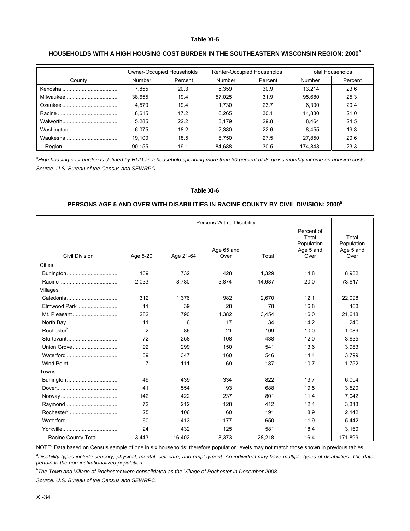#### HOUSEHOLDS WITH A HIGH HOUSING COST BURDEN IN THE SOUTHEASTERN WISCONSIN REGION: 2000<sup>a</sup>

|            | Owner-Occupied Households |         | Renter-Occupied Households |         | <b>Total Households</b> |         |
|------------|---------------------------|---------|----------------------------|---------|-------------------------|---------|
| County     | Number                    | Percent | Number                     | Percent | <b>Number</b>           | Percent |
|            | 7.855                     | 20.3    | 5.359                      | 30.9    | 13.214                  | 23.6    |
|            | 38.655                    | 19.4    | 57,025                     | 31.9    | 95.680                  | 25.3    |
|            | 4.570                     | 19.4    | 1.730                      | 23.7    | 6.300                   | 20.4    |
|            | 8.615                     | 17.2    | 6.265                      | 30.1    | 14.880                  | 21.0    |
|            | 5.285                     | 22.2    | 3,179                      | 29.8    | 8.464                   | 24.5    |
| Washington | 6.075                     | 18.2    | 2,380                      | 22.6    | 8.455                   | 19.3    |
|            | 19.100                    | 18.5    | 8,750                      | 27.5    | 27.850                  | 20.6    |
| Region     | 90.155                    | 19.1    | 84.688                     | 30.5    | 174.843                 | 23.3    |

*a High housing cost burden is defined by HUD as a household spending more than 30 percent of its gross monthly income on housing costs. Source: U.S. Bureau of the Census and SEWRPC.* 

#### **Table XI-6**

#### **PERSONS AGE 5 AND OVER WITH DISABILITIES IN RACINE COUNTY BY CIVIL DIVISION: 2000<sup>a</sup>**

|                        | Persons With a Disability |           |                    |        |                                                        |                                          |
|------------------------|---------------------------|-----------|--------------------|--------|--------------------------------------------------------|------------------------------------------|
| <b>Civil Division</b>  | Age 5-20                  | Age 21-64 | Age 65 and<br>Over | Total  | Percent of<br>Total<br>Population<br>Age 5 and<br>Over | Total<br>Population<br>Age 5 and<br>Over |
| Cities                 |                           |           |                    |        |                                                        |                                          |
|                        | 169                       | 732       | 428                | 1.329  | 14.8                                                   | 8,982                                    |
|                        | 2,033                     | 8.780     | 3.874              | 14,687 | 20.0                                                   | 73,617                                   |
| Villages               |                           |           |                    |        |                                                        |                                          |
|                        | 312                       | 1,376     | 982                | 2,670  | 12.1                                                   | 22,098                                   |
| Elmwood Park           | 11                        | 39        | 28                 | 78     | 16.8                                                   | 463                                      |
| Mt. Pleasant           | 282                       | 1,790     | 1,382              | 3,454  | 16.0                                                   | 21,618                                   |
|                        | 11                        | 6         | 17                 | 34     | 14.2                                                   | 240                                      |
|                        | 2                         | 86        | 21                 | 109    | 10.0                                                   | 1,089                                    |
|                        | 72                        | 258       | 108                | 438    | 12.0                                                   | 3,635                                    |
| Union Grove            | 92                        | 299       | 150                | 541    | 13.6                                                   | 3,983                                    |
|                        | 39                        | 347       | 160                | 546    | 14.4                                                   | 3,799                                    |
| Wind Point             | $\overline{7}$            | 111       | 69                 | 187    | 10.7                                                   | 1,752                                    |
| Towns                  |                           |           |                    |        |                                                        |                                          |
|                        | 49                        | 439       | 334                | 822    | 13.7                                                   | 6,004                                    |
|                        | 41                        | 554       | 93                 | 688    | 19.5                                                   | 3,520                                    |
|                        | 142                       | 422       | 237                | 801    | 11.4                                                   | 7,042                                    |
|                        | 72                        | 212       | 128                | 412    | 12.4                                                   | 3,313                                    |
| Rochester <sup>b</sup> | 25                        | 106       | 60                 | 191    | 8.9                                                    | 2,142                                    |
|                        | 60                        | 413       | 177                | 650    | 11.9                                                   | 5,442                                    |
|                        | 24                        | 432       | 125                | 581    | 18.4                                                   | 3,160                                    |
| Racine County Total    | 3,443                     | 16.402    | 8,373              | 28,218 | 16.4                                                   | 171,899                                  |

NOTE: Data based on Census sample of one in six households; therefore population levels may not match those shown in previous tables.

<sup>a</sup> Disability types include sensory, physical, mental, self-care, and employment. An individual may have multiple types of disabilities. The data *pertain to the non-institutionalized population.* 

*b The Town and Village of Rochester were consolidated as the Village of Rochester in December 2008.* 

*Source: U.S. Bureau of the Census and SEWRPC.*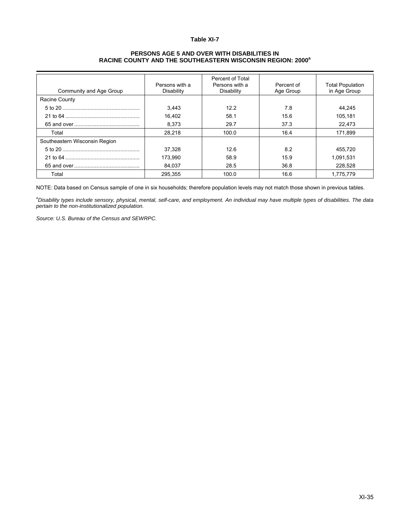#### **PERSONS AGE 5 AND OVER WITH DISABILITIES IN RACINE COUNTY AND THE SOUTHEASTERN WISCONSIN REGION: 2000<sup>a</sup>**

| Community and Age Group       | Persons with a<br>Disability | Percent of Total<br>Persons with a<br>Disability | Percent of<br>Age Group | <b>Total Population</b><br>in Age Group |
|-------------------------------|------------------------------|--------------------------------------------------|-------------------------|-----------------------------------------|
| <b>Racine County</b>          |                              |                                                  |                         |                                         |
|                               | 3.443                        | 12.2                                             | 7.8                     | 44.245                                  |
|                               | 16,402                       | 58.1                                             | 15.6                    | 105.181                                 |
|                               | 8.373                        | 29.7                                             | 37.3                    | 22.473                                  |
| Total                         | 28.218                       | 100.0                                            | 16.4                    | 171.899                                 |
| Southeastern Wisconsin Region |                              |                                                  |                         |                                         |
|                               | 37,328                       | 12.6                                             | 8.2                     | 455.720                                 |
|                               | 173,990                      | 58.9                                             | 15.9                    | 1,091,531                               |
|                               | 84,037                       | 28.5                                             | 36.8                    | 228,528                                 |
| Total                         | 295,355                      | 100.0                                            | 16.6                    | 1,775,779                               |

NOTE: Data based on Census sample of one in six households; therefore population levels may not match those shown in previous tables.

*a Disability types include sensory, physical, mental, self-care, and employment. An individual may have multiple types of disabilities. The data pertain to the non-institutionalized population.* 

*Source: U.S. Bureau of the Census and SEWRPC.*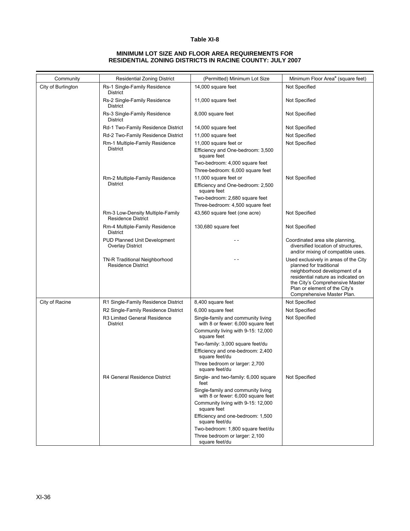#### **MINIMUM LOT SIZE AND FLOOR AREA REQUIREMENTS FOR RESIDENTIAL ZONING DISTRICTS IN RACINE COUNTY: JULY 2007**

| Community          | <b>Residential Zoning District</b>                            | (Permitted) Minimum Lot Size                                             | Minimum Floor Area <sup>a</sup> (square feet)                                                                                                                                                                                             |
|--------------------|---------------------------------------------------------------|--------------------------------------------------------------------------|-------------------------------------------------------------------------------------------------------------------------------------------------------------------------------------------------------------------------------------------|
| City of Burlington | Rs-1 Single-Family Residence<br><b>District</b>               | 14,000 square feet                                                       | Not Specified                                                                                                                                                                                                                             |
|                    | Rs-2 Single-Family Residence<br>District                      | 11,000 square feet                                                       | Not Specified                                                                                                                                                                                                                             |
|                    | Rs-3 Single-Family Residence<br>District                      | 8,000 square feet                                                        | Not Specified                                                                                                                                                                                                                             |
|                    | Rd-1 Two-Family Residence District                            | 14,000 square feet                                                       | Not Specified                                                                                                                                                                                                                             |
|                    | Rd-2 Two-Family Residence District                            | 11,000 square feet                                                       | Not Specified                                                                                                                                                                                                                             |
|                    | Rm-1 Multiple-Family Residence                                | 11,000 square feet or                                                    | Not Specified                                                                                                                                                                                                                             |
|                    | <b>District</b>                                               | Efficiency and One-bedroom: 3,500<br>square feet                         |                                                                                                                                                                                                                                           |
|                    |                                                               | Two-bedroom: 4,000 square feet                                           |                                                                                                                                                                                                                                           |
|                    |                                                               | Three-bedroom: 6,000 square feet                                         |                                                                                                                                                                                                                                           |
|                    | Rm-2 Multiple-Family Residence                                | 11,000 square feet or                                                    | Not Specified                                                                                                                                                                                                                             |
|                    | District                                                      | Efficiency and One-bedroom: 2,500<br>square feet                         |                                                                                                                                                                                                                                           |
|                    |                                                               | Two-bedroom: 2,680 square feet<br>Three-bedroom: 4,500 square feet       |                                                                                                                                                                                                                                           |
|                    | Rm-3 Low-Density Multiple-Family<br><b>Residence District</b> | 43,560 square feet (one acre)                                            | Not Specified                                                                                                                                                                                                                             |
|                    | Rm-4 Multiple-Family Residence<br>District                    | 130,680 square feet                                                      | Not Specified                                                                                                                                                                                                                             |
|                    | PUD Planned Unit Development<br><b>Overlay District</b>       |                                                                          | Coordinated area site planning,<br>diversified location of structures,<br>and/or mixing of compatible uses.                                                                                                                               |
|                    | TN-R Traditional Neighborhood<br><b>Residence District</b>    |                                                                          | Used exclusively in areas of the City<br>planned for traditional<br>neighborhood development of a<br>residential nature as indicated on<br>the City's Comprehensive Master<br>Plan or element of the City's<br>Comprehensive Master Plan. |
| City of Racine     | R1 Single-Family Residence District                           | 8,400 square feet                                                        | Not Specified                                                                                                                                                                                                                             |
|                    | R2 Single-Family Residence District                           | 6,000 square feet                                                        | Not Specified                                                                                                                                                                                                                             |
|                    | R3 Limited General Residence<br>District                      | Single-family and community living<br>with 8 or fewer: 6,000 square feet | Not Specified                                                                                                                                                                                                                             |
|                    |                                                               | Community living with 9-15: 12,000<br>square feet                        |                                                                                                                                                                                                                                           |
|                    |                                                               | Two-family: 3,000 square feet/du                                         |                                                                                                                                                                                                                                           |
|                    |                                                               | Efficiency and one-bedroom: 2,400<br>square feet/du                      |                                                                                                                                                                                                                                           |
|                    |                                                               | Three bedroom or larger: 2,700<br>square feet/du                         |                                                                                                                                                                                                                                           |
|                    | R4 General Residence District                                 | Single- and two-family: 6,000 square<br>feet                             | Not Specified                                                                                                                                                                                                                             |
|                    |                                                               | Single-family and community living<br>with 8 or fewer: 6,000 square feet |                                                                                                                                                                                                                                           |
|                    |                                                               | Community living with 9-15: 12,000<br>square feet                        |                                                                                                                                                                                                                                           |
|                    |                                                               | Efficiency and one-bedroom: 1,500<br>square feet/du                      |                                                                                                                                                                                                                                           |
|                    |                                                               | Two-bedroom: 1,800 square feet/du                                        |                                                                                                                                                                                                                                           |
|                    |                                                               | Three bedroom or larger: 2,100<br>square feet/du                         |                                                                                                                                                                                                                                           |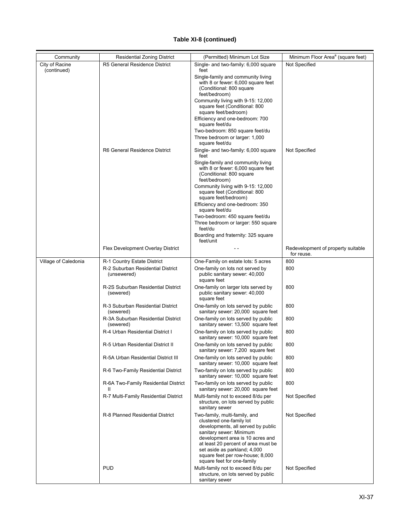| Community                     | <b>Residential Zoning District</b>                   | (Permitted) Minimum Lot Size                                                                                                                                                                                                                                                                            | Minimum Floor Area <sup>a</sup> (square feet)    |
|-------------------------------|------------------------------------------------------|---------------------------------------------------------------------------------------------------------------------------------------------------------------------------------------------------------------------------------------------------------------------------------------------------------|--------------------------------------------------|
| City of Racine<br>(continued) | R5 General Residence District                        | Single- and two-family: 6,000 square<br>feet                                                                                                                                                                                                                                                            | Not Specified                                    |
|                               |                                                      | Single-family and community living<br>with 8 or fewer: 6,000 square feet<br>(Conditional: 800 square<br>feet/bedroom)                                                                                                                                                                                   |                                                  |
|                               |                                                      | Community living with 9-15: 12,000<br>square feet (Conditional: 800<br>square feet/bedroom)                                                                                                                                                                                                             |                                                  |
|                               |                                                      | Efficiency and one-bedroom: 700<br>square feet/du                                                                                                                                                                                                                                                       |                                                  |
|                               |                                                      | Two-bedroom: 850 square feet/du<br>Three bedroom or larger: 1,000<br>square feet/du                                                                                                                                                                                                                     |                                                  |
|                               | R6 General Residence District                        | Single- and two-family: 6,000 square<br>feet                                                                                                                                                                                                                                                            | Not Specified                                    |
|                               |                                                      | Single-family and community living<br>with 8 or fewer: 6,000 square feet<br>(Conditional: 800 square<br>feet/bedroom)                                                                                                                                                                                   |                                                  |
|                               |                                                      | Community living with 9-15: 12,000<br>square feet (Conditional: 800<br>square feet/bedroom)                                                                                                                                                                                                             |                                                  |
|                               |                                                      | Efficiency and one-bedroom: 350<br>square feet/du                                                                                                                                                                                                                                                       |                                                  |
|                               |                                                      | Two-bedroom: 450 square feet/du<br>Three bedroom or larger: 550 square<br>feet/du                                                                                                                                                                                                                       |                                                  |
|                               |                                                      | Boarding and fraternity: 325 square<br>feet/unit                                                                                                                                                                                                                                                        |                                                  |
|                               | Flex Development Overlay District                    |                                                                                                                                                                                                                                                                                                         | Redevelopment of property suitable<br>for reuse. |
| Village of Caledonia          | R-1 Country Estate District                          | One-Family on estate lots: 5 acres                                                                                                                                                                                                                                                                      | 800                                              |
|                               | R-2 Suburban Residential District<br>(unsewered)     | One-family on lots not served by<br>public sanitary sewer: 40,000<br>square feet                                                                                                                                                                                                                        | 800                                              |
|                               | R-2S Suburban Residential District<br>(sewered)      | One-family on larger lots served by<br>public sanitary sewer: 40,000<br>square feet                                                                                                                                                                                                                     | 800                                              |
|                               | R-3 Suburban Residential District<br>(sewered)       | One-family on lots served by public<br>sanitary sewer: 20,000 square feet                                                                                                                                                                                                                               | 800                                              |
|                               | R-3A Suburban Residential District<br>(sewered)      | One-family on lots served by public<br>sanitary sewer: 13,500 square feet                                                                                                                                                                                                                               | 800                                              |
|                               | R-4 Urban Residential District I                     | One-family on lots served by public<br>sanitary sewer: 10,000 square feet                                                                                                                                                                                                                               | 800                                              |
|                               | R-5 Urban Residential District II                    | One-family on lots served by public<br>sanitary sewer: 7,200 square feet                                                                                                                                                                                                                                | 800                                              |
|                               | R-5A Urban Residential District III                  | One-family on lots served by public<br>sanitary sewer: 10,000 square feet                                                                                                                                                                                                                               | 800                                              |
|                               | R-6 Two-Family Residential District                  | Two-family on lots served by public<br>sanitary sewer: 10,000 square feet                                                                                                                                                                                                                               | 800                                              |
|                               | R-6A Two-Family Residential District<br>$\mathbf{H}$ | Two-family on lots served by public<br>sanitary sewer: 20,000 square feet                                                                                                                                                                                                                               | 800                                              |
|                               | R-7 Multi-Family Residential District                | Multi-family not to exceed 8/du per<br>structure, on lots served by public<br>sanitary sewer                                                                                                                                                                                                            | Not Specified                                    |
|                               | R-8 Planned Residential District                     | Two-family, multi-family, and<br>clustered one-family lot<br>developments, all served by public<br>sanitary sewer: Minimum<br>development area is 10 acres and<br>at least 20 percent of area must be<br>set aside as parkland; 4,000<br>square feet per row-house; 8,000<br>square feet for one-family | Not Specified                                    |
|                               | <b>PUD</b>                                           | Multi-family not to exceed 8/du per<br>structure, on lots served by public<br>sanitary sewer                                                                                                                                                                                                            | Not Specified                                    |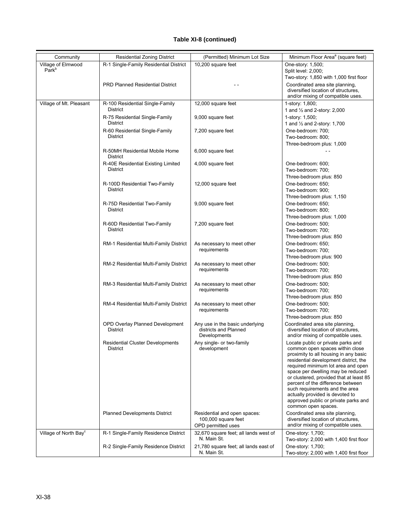| Community                               | <b>Residential Zoning District</b>                    | (Permitted) Minimum Lot Size                                              | Minimum Floor Area <sup>a</sup> (square feet)                                                                                                                                                                                                                                                                                                                                                                                                          |
|-----------------------------------------|-------------------------------------------------------|---------------------------------------------------------------------------|--------------------------------------------------------------------------------------------------------------------------------------------------------------------------------------------------------------------------------------------------------------------------------------------------------------------------------------------------------------------------------------------------------------------------------------------------------|
| Village of Elmwood<br>Park <sup>b</sup> | R-1 Single-Family Residential District                | 10,200 square feet                                                        | One-story: 1,500;<br>Split level: 2,000;                                                                                                                                                                                                                                                                                                                                                                                                               |
|                                         | <b>PRD Planned Residential District</b>               |                                                                           | Two-story: 1,850 with 1,000 first floor<br>Coordinated area site planning,<br>diversified location of structures.                                                                                                                                                                                                                                                                                                                                      |
|                                         |                                                       |                                                                           | and/or mixing of compatible uses.                                                                                                                                                                                                                                                                                                                                                                                                                      |
| Village of Mt. Pleasant                 | R-100 Residential Single-Family<br>District           | 12,000 square feet                                                        | 1-story: 1,800;<br>1 and $\frac{1}{2}$ and 2-story: 2,000                                                                                                                                                                                                                                                                                                                                                                                              |
|                                         | R-75 Residential Single-Family<br><b>District</b>     | 9,000 square feet                                                         | 1-story: 1,500;<br>1 and 1/2 and 2-story: 1,700                                                                                                                                                                                                                                                                                                                                                                                                        |
|                                         | R-60 Residential Single-Family<br>District            | 7,200 square feet                                                         | One-bedroom: 700:<br>Two-bedroom: 800;<br>Three-bedroom plus: 1,000                                                                                                                                                                                                                                                                                                                                                                                    |
|                                         | R-50MH Residential Mobile Home<br>District            | 6,000 square feet                                                         |                                                                                                                                                                                                                                                                                                                                                                                                                                                        |
|                                         | R-40E Residential Existing Limited<br><b>District</b> | 4,000 square feet                                                         | One-bedroom: 600;<br>Two-bedroom: 700;<br>Three-bedroom plus: 850                                                                                                                                                                                                                                                                                                                                                                                      |
|                                         | R-100D Residential Two-Family<br><b>District</b>      | 12,000 square feet                                                        | One-bedroom: 650;<br>Two-bedroom: 900;<br>Three-bedroom plus: 1,150                                                                                                                                                                                                                                                                                                                                                                                    |
|                                         | R-75D Residential Two-Family<br><b>District</b>       | 9,000 square feet                                                         | One-bedroom: 650;<br>Two-bedroom: 800;<br>Three-bedroom plus: 1,000                                                                                                                                                                                                                                                                                                                                                                                    |
|                                         | R-60D Residential Two-Family<br><b>District</b>       | 7,200 square feet                                                         | One-bedroom: 500;<br>Two-bedroom: 700;<br>Three-bedroom plus: 850                                                                                                                                                                                                                                                                                                                                                                                      |
|                                         | RM-1 Residential Multi-Family District                | As necessary to meet other<br>requirements                                | One-bedroom: 650:<br>Two-bedroom: 700;<br>Three-bedroom plus: 900                                                                                                                                                                                                                                                                                                                                                                                      |
|                                         | RM-2 Residential Multi-Family District                | As necessary to meet other<br>requirements                                | One-bedroom: 500;<br>Two-bedroom: 700;<br>Three-bedroom plus: 850                                                                                                                                                                                                                                                                                                                                                                                      |
|                                         | RM-3 Residential Multi-Family District                | As necessary to meet other<br>requirements                                | One-bedroom: 500;<br>Two-bedroom: 700;<br>Three-bedroom plus: 850                                                                                                                                                                                                                                                                                                                                                                                      |
|                                         | RM-4 Residential Multi-Family District                | As necessary to meet other<br>requirements                                | One-bedroom: 500;<br>Two-bedroom: 700;<br>Three-bedroom plus: 850                                                                                                                                                                                                                                                                                                                                                                                      |
|                                         | OPD Overlay Planned Development<br><b>District</b>    | Any use in the basic underlying<br>districts and Planned<br>Developments  | Coordinated area site planning,<br>diversified location of structures.<br>and/or mixing of compatible uses.                                                                                                                                                                                                                                                                                                                                            |
|                                         | <b>Residential Cluster Developments</b><br>District   | Any single- or two-family<br>development                                  | Locate public or private parks and<br>common open spaces within close<br>proximity to all housing in any basic<br>residential development district, the<br>required minimum lot area and open<br>space per dwelling may be reduced<br>or clustered, provided that at least 85<br>percent of the difference between<br>such requirements and the area<br>actually provided is devoted to<br>approved public or private parks and<br>common open spaces. |
|                                         | <b>Planned Developments District</b>                  | Residential and open spaces:<br>100,000 square feet<br>OPD permitted uses | Coordinated area site planning,<br>diversified location of structures,<br>and/or mixing of compatible uses.                                                                                                                                                                                                                                                                                                                                            |
| Village of North Bay <sup>c</sup>       | R-1 Single-Family Residence District                  | 32,670 square feet; all lands west of<br>N. Main St.                      | One-story: 1,700;<br>Two-story: 2,000 with 1,400 first floor                                                                                                                                                                                                                                                                                                                                                                                           |
|                                         | R-2 Single-Family Residence District                  | 21,780 square feet; all lands east of<br>N. Main St.                      | One-story: 1,700;<br>Two-story: 2,000 with 1,400 first floor                                                                                                                                                                                                                                                                                                                                                                                           |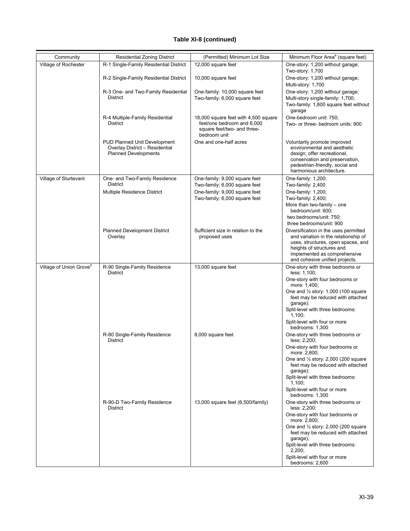| Village of Rochester<br>R-1 Single-Family Residential District<br>12,000 square feet<br>One-story: 1,200 without garage;<br>Two-story: 1,700<br>R-2 Single-Family Residential District<br>10,000 square feet<br>Multi-story: 1,700<br>R-3 One- and Two-Family Residential<br>One-family: 10,000 square feet<br><b>District</b><br>Two-family: 6,000 square feet<br>garage<br>R-4 Multiple-Family Residential<br>18,000 square feet with 4,500 square<br>One-bedroom unit: 750;<br>feet/one bedroom and 6,000<br>District<br>square feet/two- and three-<br>bedroom unit<br>One and one-half acres<br><b>PUD Planned Unit Development</b><br>Voluntarily promote improved<br>Overlay District - Residential<br><b>Planned Developments</b><br>design; offer recreational,<br>harmonious architecture.<br>Village of Sturtevant<br>One- and Two-Family Residence<br>One-family: 9,000 square feet<br>One-family: 1,200;<br><b>District</b><br>Two-family: 6,000 square feet<br>Two-family: 2,400<br>Multiple Residence District<br>One-family: 9,000 square feet<br>One-family: 1,200;<br>Two-family: 6,000 square feet<br>Two-family: 2,400; |                                                                                                                                                                                                |
|---------------------------------------------------------------------------------------------------------------------------------------------------------------------------------------------------------------------------------------------------------------------------------------------------------------------------------------------------------------------------------------------------------------------------------------------------------------------------------------------------------------------------------------------------------------------------------------------------------------------------------------------------------------------------------------------------------------------------------------------------------------------------------------------------------------------------------------------------------------------------------------------------------------------------------------------------------------------------------------------------------------------------------------------------------------------------------------------------------------------------------------------|------------------------------------------------------------------------------------------------------------------------------------------------------------------------------------------------|
|                                                                                                                                                                                                                                                                                                                                                                                                                                                                                                                                                                                                                                                                                                                                                                                                                                                                                                                                                                                                                                                                                                                                             |                                                                                                                                                                                                |
|                                                                                                                                                                                                                                                                                                                                                                                                                                                                                                                                                                                                                                                                                                                                                                                                                                                                                                                                                                                                                                                                                                                                             | One-story: 1,200 without garage;                                                                                                                                                               |
|                                                                                                                                                                                                                                                                                                                                                                                                                                                                                                                                                                                                                                                                                                                                                                                                                                                                                                                                                                                                                                                                                                                                             | One-story: 1,200 without garage;<br>Multi-story single-family: 1,700;<br>Two-family: 1,800 square feet without                                                                                 |
|                                                                                                                                                                                                                                                                                                                                                                                                                                                                                                                                                                                                                                                                                                                                                                                                                                                                                                                                                                                                                                                                                                                                             | Two- or three- bedroom units: 900                                                                                                                                                              |
|                                                                                                                                                                                                                                                                                                                                                                                                                                                                                                                                                                                                                                                                                                                                                                                                                                                                                                                                                                                                                                                                                                                                             | environmental and aesthetic<br>conservation and preservation,<br>pedestrian-friendly, social and                                                                                               |
|                                                                                                                                                                                                                                                                                                                                                                                                                                                                                                                                                                                                                                                                                                                                                                                                                                                                                                                                                                                                                                                                                                                                             |                                                                                                                                                                                                |
| bedroom/unit: 600;<br>two bedrooms/unit: 750;<br>three bedrooms/unit: 900                                                                                                                                                                                                                                                                                                                                                                                                                                                                                                                                                                                                                                                                                                                                                                                                                                                                                                                                                                                                                                                                   | More than two-family – one                                                                                                                                                                     |
| <b>Planned Development District</b><br>Sufficient size in relation to the<br>Overlay<br>proposed uses<br>heights of structures and                                                                                                                                                                                                                                                                                                                                                                                                                                                                                                                                                                                                                                                                                                                                                                                                                                                                                                                                                                                                          | Diversification in the uses permitted<br>and variation in the relationship of<br>uses, structures, open spaces, and<br>implemented as comprehensive<br>and cohesive unified projects.          |
| Village of Union Grove <sup>d</sup><br>13,000 square feet<br>R-90 Single-Family Residence<br><b>District</b><br>less: 1,100;<br>more: 1,400;<br>garage);<br>1,100;<br>Split-level with four or more<br>bedrooms: 1.300                                                                                                                                                                                                                                                                                                                                                                                                                                                                                                                                                                                                                                                                                                                                                                                                                                                                                                                      | One-story with three bedrooms or<br>One-story with four bedrooms or<br>One and $\frac{1}{2}$ story: 1,000 (100 square<br>feet may be reduced with attached<br>Split-level with three bedrooms: |
| R-80 Single-Family Residence<br>8,000 square feet<br>District<br>less: 2,200;<br>more: 2,800;<br>garage);<br>1,100:                                                                                                                                                                                                                                                                                                                                                                                                                                                                                                                                                                                                                                                                                                                                                                                                                                                                                                                                                                                                                         | One-story with three bedrooms or<br>One-story with four bedrooms or<br>One and 1/2 story: 2,000 (200 square<br>feet may be reduced with attached<br>Split-level with three bedrooms:           |
| Split-level with four or more<br>bedrooms: 1,300<br>R-90-D Two-Family Residence<br>13,000 square feet (6,500/family)<br>District<br>less: 2,200;<br>more: 2,800;<br>garage);<br>2,200;<br>Split-level with four or more<br>bedrooms: 2,600                                                                                                                                                                                                                                                                                                                                                                                                                                                                                                                                                                                                                                                                                                                                                                                                                                                                                                  | One-story with three bedrooms or<br>One-story with four bedrooms or<br>One and 1/2 story: 2,000 (200 square<br>feet may be reduced with attached<br>Split-level with three bedrooms:           |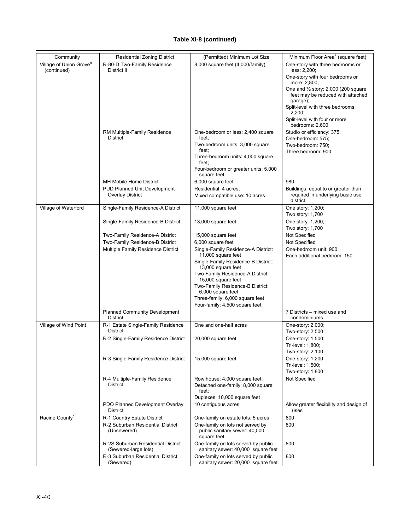| Community                           | <b>Residential Zoning District</b>                             | (Permitted) Minimum Lot Size                                                     | Minimum Floor Area <sup>a</sup> (square feet)                                                         |
|-------------------------------------|----------------------------------------------------------------|----------------------------------------------------------------------------------|-------------------------------------------------------------------------------------------------------|
| Village of Union Grove <sup>d</sup> | R-80-D Two-Family Residence                                    | 8,000 square feet (4,000/family)                                                 | One-story with three bedrooms or                                                                      |
| (continued)                         | District II                                                    |                                                                                  | less: 2,200;<br>One-story with four bedrooms or                                                       |
|                                     |                                                                |                                                                                  | more: 2,800;<br>One and 1/2 story: 2,000 (200 square<br>feet may be reduced with attached<br>garage); |
|                                     |                                                                |                                                                                  | Split-level with three bedrooms:<br>2,200;                                                            |
|                                     |                                                                |                                                                                  | Split-level with four or more<br>bedrooms: 2,600                                                      |
|                                     | RM Multiple-Family Residence<br>District                       | One-bedroom or less: 2,400 square<br>feet:                                       | Studio or efficiency: 375;<br>One-bedroom: 575;                                                       |
|                                     |                                                                | Two-bedroom units: 3,000 square<br>feet:                                         | Two-bedroom: 750;                                                                                     |
|                                     |                                                                | Three-bedroom units: 4,000 square<br>feet:                                       | Three bedroom: 900                                                                                    |
|                                     |                                                                | Four-bedroom or greater units: 5,000<br>square feet                              |                                                                                                       |
|                                     | MH Mobile Home District                                        | 6,000 square feet                                                                | 980                                                                                                   |
|                                     | <b>PUD Planned Unit Development</b><br><b>Overlay District</b> | Residential: 4 acres;<br>Mixed compatible use: 10 acres                          | Buildings: equal to or greater than<br>required in underlying basic use<br>district.                  |
| Village of Waterford                | Single-Family Residence-A District                             | 11,000 square feet                                                               | One story: 1,200;<br>Two story: 1,700                                                                 |
|                                     | Single-Family Residence-B District                             | 13,000 square feet                                                               | One story: 1,200;<br>Two story: 1,700                                                                 |
|                                     | Two-Family Residence-A District                                | 15,000 square feet                                                               | Not Specified                                                                                         |
|                                     | Two-Family Residence-B District                                | 6,000 square feet                                                                | Not Specified                                                                                         |
|                                     | Multiple Family Residence District                             | Single-Family Residence-A District:                                              | One-bedroom unit: 900;                                                                                |
|                                     |                                                                | 11,000 square feet<br>Single-Family Residence-B District:                        | Each additional bedroom: 150                                                                          |
|                                     |                                                                | 13,000 square feet<br>Two-Family Residence-A District:<br>15,000 square feet     |                                                                                                       |
|                                     |                                                                | Two-Family Residence-B District:<br>6,000 square feet                            |                                                                                                       |
|                                     |                                                                | Three-family: 6,000 square feet<br>Four-family: 4,500 square feet                |                                                                                                       |
|                                     | <b>Planned Community Development</b><br><b>District</b>        |                                                                                  | 7 Districts – mixed use and<br>condominiums                                                           |
| Village of Wind Point               | R-1 Estate Single-Family Residence<br>District                 | One and one-half acres                                                           | One-story: 2,000;<br>Two-story: 2,500                                                                 |
|                                     | R-2 Single-Family Residence District                           | 20,000 square feet                                                               | One-story: 1,500;<br>Tri-level: 1,800;                                                                |
|                                     |                                                                |                                                                                  | Two-story: 2,100                                                                                      |
|                                     | R-3 Single-Family Residence District                           | 15,000 square feet                                                               | One-story: 1,200;<br>Tri-level: 1,500;                                                                |
|                                     |                                                                |                                                                                  | Two-story: 1,800                                                                                      |
|                                     | R-4 Multiple-Family Residence<br>District                      | Row house: 4,000 square feet;<br>Detached one-family: 8,000 square<br>feet:      | Not Specified                                                                                         |
|                                     |                                                                | Duplexes: 10,000 square feet                                                     |                                                                                                       |
|                                     | PDO Planned Development Overlay<br><b>District</b>             | 10 contiguous acres                                                              | Allow greater flexibility and design of<br>uses                                                       |
| Racine County <sup>e</sup>          | R-1 Country Estate District                                    | One-family on estate lots: 5 acres                                               | 800                                                                                                   |
|                                     | R-2 Suburban Residential District<br>(Unsewered)               | One-family on lots not served by<br>public sanitary sewer: 40,000<br>square feet | 800                                                                                                   |
|                                     | R-2S Suburban Residential District<br>(Sewered-large lots)     | One-family on lots served by public<br>sanitary sewer: 40,000 square feet        | 800                                                                                                   |
|                                     | R-3 Suburban Residential District<br>(Sewered)                 | One-family on lots served by public<br>sanitary sewer: 20,000 square feet        | 800                                                                                                   |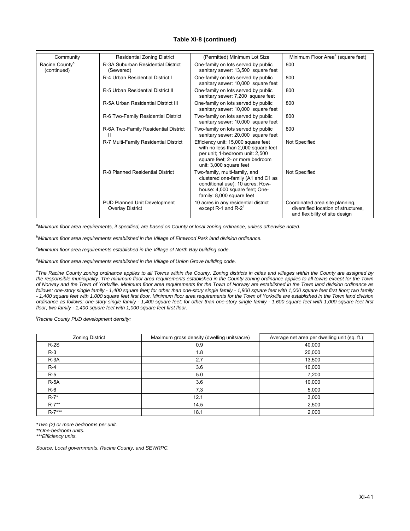| Community                                 | <b>Residential Zoning District</b>                             | (Permitted) Minimum Lot Size                                                                                                                                                | Minimum Floor Area <sup>a</sup> (square feet)                                                            |
|-------------------------------------------|----------------------------------------------------------------|-----------------------------------------------------------------------------------------------------------------------------------------------------------------------------|----------------------------------------------------------------------------------------------------------|
| Racine County <sup>e</sup><br>(continued) | R-3A Suburban Residential District<br>(Sewered)                | One-family on lots served by public<br>sanitary sewer: 13,500 square feet                                                                                                   | 800                                                                                                      |
|                                           | R-4 Urban Residential District I                               | One-family on lots served by public<br>sanitary sewer: 10,000 square feet                                                                                                   | 800                                                                                                      |
|                                           | R-5 Urban Residential District II                              | One-family on lots served by public<br>sanitary sewer: 7,200 square feet                                                                                                    | 800                                                                                                      |
|                                           | R-5A Urban Residential District III                            | One-family on lots served by public<br>sanitary sewer: 10,000 square feet                                                                                                   | 800                                                                                                      |
|                                           | R-6 Two-Family Residential District                            | Two-family on lots served by public<br>sanitary sewer: 10,000 square feet                                                                                                   | 800                                                                                                      |
|                                           | R-6A Two-Family Residential District<br>Ш                      | Two-family on lots served by public<br>sanitary sewer: 20,000 square feet                                                                                                   | 800                                                                                                      |
|                                           | R-7 Multi-Family Residential District                          | Efficiency unit: 15,000 square feet<br>with no less than 2,000 square feet<br>per unit; 1-bedroom unit: 2,500<br>square feet; 2- or more bedroom<br>unit: 3,000 square feet | Not Specified                                                                                            |
|                                           | R-8 Planned Residential District                               | Two-family, multi-family, and<br>clustered one-family (A1 and C1 as<br>conditional use): 10 acres; Row-<br>house: 4,000 square feet; One-<br>family: 8,000 square feet      | Not Specified                                                                                            |
|                                           | <b>PUD Planned Unit Development</b><br><b>Overlay District</b> | 10 acres in any residential district<br>except $R-1$ and $R-2$ <sup>T</sup>                                                                                                 | Coordinated area site planning,<br>diversified location of structures.<br>and flexibility of site design |

a *Minimum floor area requirements, if specified, are based on County or local zoning ordinance, unless otherwise noted.* 

*b Minimum floor area requirements established in the Village of Elmwood Park land division ordinance.* 

*c Minimum floor area requirements established in the Village of North Bay building code.* 

*d Minimum floor area requirements established in the Village of Union Grove building code.* 

*e The Racine County zoning ordinance applies to all Towns within the County. Zoning districts in cities and villages within the County are assigned by the responsible municipality. The minimum floor area requirements established in the County zoning ordinance applies to all towns except for the Town of Norway and the Town of Yorkville. Minimum floor area requirements for the Town of Norway are established in the Town land division ordinance as follows: one-story single family - 1,400 square feet; for other than one-story single family - 1,800 square feet with 1,000 square feet first floor; two family - 1,400 square feet with 1,000 square feet first floor. Minimum floor area requirements for the Town of Yorkville are established in the Town land division ordinance as follows: one-story single family - 1,400 square feet; for other than one-story single family - 1,600 square feet with 1,000 square feet first floor; two family - 1,400 square feet with 1,000 square feet first floor.* 

*f Racine County PUD development density:* 

| <b>Zoning District</b> | Maximum gross density (dwelling units/acre) | Average net area per dwelling unit (sq. ft.) |
|------------------------|---------------------------------------------|----------------------------------------------|
| $R-2S$                 | 0.9                                         | 40,000                                       |
| $R-3$                  | 1.8                                         | 20,000                                       |
| $R-3A$                 | 2.7                                         | 13,500                                       |
| $R-4$                  | 3.6                                         | 10,000                                       |
| $R-5$                  | 5.0                                         | 7,200                                        |
| $R-5A$                 | 3.6                                         | 10,000                                       |
| $R-6$                  | 7.3                                         | 5,000                                        |
| $R-7$ *                | 12.1                                        | 3,000                                        |
| $R-7**$                | 14.5                                        | 2,500                                        |
| $R-7***$               | 18.1                                        | 2,000                                        |

*\*Two (2) or more bedrooms per unit.* 

*\*\*One-bedroom units.* 

*\*\*\*Efficiency units.* 

*Source: Local governments, Racine County, and SEWRPC.*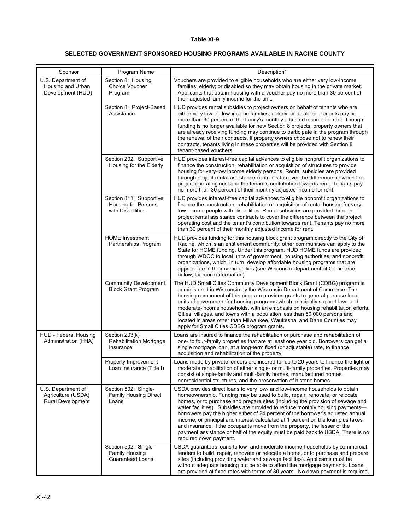#### **SELECTED GOVERNMENT SPONSORED HOUSING PROGRAMS AVAILABLE IN RACINE COUNTY**

| Sponsor                                                              | Program Name                                                               | Description <sup>a</sup>                                                                                                                                                                                                                                                                                                                                                                                                                                                                                                                                                                                                                                                                      |
|----------------------------------------------------------------------|----------------------------------------------------------------------------|-----------------------------------------------------------------------------------------------------------------------------------------------------------------------------------------------------------------------------------------------------------------------------------------------------------------------------------------------------------------------------------------------------------------------------------------------------------------------------------------------------------------------------------------------------------------------------------------------------------------------------------------------------------------------------------------------|
| U.S. Department of<br>Housing and Urban<br>Development (HUD)         | Section 8: Housing<br>Choice Voucher<br>Program                            | Vouchers are provided to eligible households who are either very low-income<br>families; elderly; or disabled so they may obtain housing in the private market.<br>Applicants that obtain housing with a voucher pay no more than 30 percent of<br>their adjusted family income for the unit.                                                                                                                                                                                                                                                                                                                                                                                                 |
|                                                                      | Section 8: Project-Based<br>Assistance                                     | HUD provides rental subsidies to project owners on behalf of tenants who are<br>either very low- or low-income families; elderly; or disabled. Tenants pay no<br>more than 30 percent of the family's monthly adjusted income for rent. Though<br>funding is no longer available for new Section 8 projects, property owners that<br>are already receiving funding may continue to participate in the program through<br>the renewal of their contracts. If property owners choose not to renew their<br>contracts, tenants living in these properties will be provided with Section 8<br>tenant-based vouchers.                                                                              |
|                                                                      | Section 202: Supportive<br>Housing for the Elderly                         | HUD provides interest-free capital advances to eligible nonprofit organizations to<br>finance the construction, rehabilitation or acquisition of structures to provide<br>housing for very-low income elderly persons. Rental subsidies are provided<br>through project rental assistance contracts to cover the difference between the<br>project operating cost and the tenant's contribution towards rent. Tenants pay<br>no more than 30 percent of their monthly adjusted income for rent.                                                                                                                                                                                               |
|                                                                      | Section 811: Supportive<br><b>Housing for Persons</b><br>with Disabilities | HUD provides interest-free capital advances to eligible nonprofit organizations to<br>finance the construction, rehabilitation or acquisition of rental housing for very-<br>low income people with disabilities. Rental subsidies are provided through<br>project rental assistance contracts to cover the difference between the project<br>operating cost and the tenant's contribution towards rent. Tenants pay no more<br>than 30 percent of their monthly adjusted income for rent.                                                                                                                                                                                                    |
|                                                                      | <b>HOME</b> Investment<br>Partnerships Program                             | HUD provides funding for this housing block grant program directly to the City of<br>Racine, which is an entitlement community; other communities can apply to the<br>State for HOME funding. Under this program, HUD HOME funds are provided<br>through WDOC to local units of government, housing authorities, and nonprofit<br>organizations, which, in turn, develop affordable housing programs that are<br>appropriate in their communities (see Wisconsin Department of Commerce,<br>below, for more information).                                                                                                                                                                     |
|                                                                      | <b>Community Development</b><br><b>Block Grant Program</b>                 | The HUD Small Cities Community Development Block Grant (CDBG) program is<br>administered in Wisconsin by the Wisconsin Department of Commerce. The<br>housing component of this program provides grants to general purpose local<br>units of government for housing programs which principally support low- and<br>moderate-income households, with an emphasis on housing rehabilitation efforts.<br>Cities, villages, and towns with a population less than 50,000 persons and<br>located in areas other than Milwaukee, Waukesha, and Dane Counties may<br>apply for Small Cities CDBG program grants.                                                                                     |
| HUD - Federal Housing<br>Administration (FHA)                        | Section 203(k)<br><b>Rehabilitation Mortgage</b><br>Insurance              | Loans are insured to finance the rehabilitation or purchase and rehabilitation of<br>one- to four-family properties that are at least one year old. Borrowers can get a<br>single mortgage loan, at a long-term fixed (or adjustable) rate, to finance<br>acquisition and rehabilitation of the property.                                                                                                                                                                                                                                                                                                                                                                                     |
|                                                                      | Property Improvement<br>Loan Insurance (Title I)                           | Loans made by private lenders are insured for up to 20 years to finance the light or<br>moderate rehabilitation of either single- or multi-family properties. Properties may<br>consist of single-family and multi-family homes, manufactured homes,<br>nonresidential structures, and the preservation of historic homes.                                                                                                                                                                                                                                                                                                                                                                    |
| U.S. Department of<br>Agriculture (USDA)<br><b>Rural Development</b> | Section 502: Single-<br><b>Family Housing Direct</b><br>Loans              | USDA provides direct loans to very low- and low-income households to obtain<br>homeownership. Funding may be used to build, repair, renovate, or relocate<br>homes, or to purchase and prepare sites (including the provision of sewage and<br>water facilities). Subsidies are provided to reduce monthly housing payments-<br>borrowers pay the higher either of 24 percent of the borrower's adjusted annual<br>income, or principal and interest calculated at 1 percent on the loan plus taxes<br>and insurance; if the occupants move from the property, the lesser of the<br>payment assistance or half of the equity must be paid back to USDA. There is no<br>required down payment. |
|                                                                      | Section 502: Single-<br>Family Housing<br><b>Guaranteed Loans</b>          | USDA guarantees loans to low- and moderate-income households by commercial<br>lenders to build, repair, renovate or relocate a home, or to purchase and prepare<br>sites (including providing water and sewage facilities). Applicants must be<br>without adequate housing but be able to afford the mortgage payments. Loans<br>are provided at fixed rates with terms of 30 years. No down payment is required.                                                                                                                                                                                                                                                                             |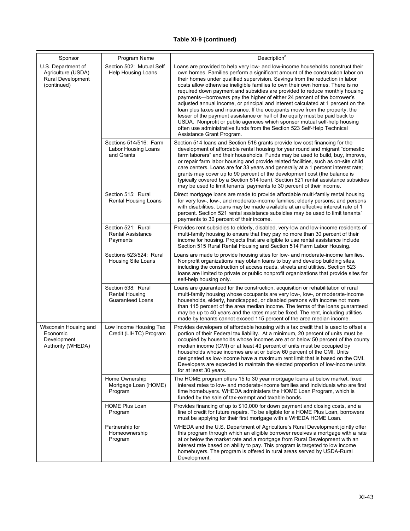| Sponsor                                                                             | Program Name                                                           | Description <sup>a</sup>                                                                                                                                                                                                                                                                                                                                                                                                                                                                                                                                                                                                                                                                                                                                                                                                                                                                                                          |
|-------------------------------------------------------------------------------------|------------------------------------------------------------------------|-----------------------------------------------------------------------------------------------------------------------------------------------------------------------------------------------------------------------------------------------------------------------------------------------------------------------------------------------------------------------------------------------------------------------------------------------------------------------------------------------------------------------------------------------------------------------------------------------------------------------------------------------------------------------------------------------------------------------------------------------------------------------------------------------------------------------------------------------------------------------------------------------------------------------------------|
| U.S. Department of<br>Agriculture (USDA)<br><b>Rural Development</b><br>(continued) | Section 502: Mutual Self<br>Help Housing Loans                         | Loans are provided to help very low- and low-income households construct their<br>own homes. Families perform a significant amount of the construction labor on<br>their homes under qualified supervision. Savings from the reduction in labor<br>costs allow otherwise ineligible families to own their own homes. There is no<br>required down payment and subsidies are provided to reduce monthly housing<br>payments—borrowers pay the higher of either 24 percent of the borrower's<br>adjusted annual income, or principal and interest calculated at 1 percent on the<br>loan plus taxes and insurance. If the occupants move from the property, the<br>lesser of the payment assistance or half of the equity must be paid back to<br>USDA. Nonprofit or public agencies which sponsor mutual self-help housing<br>often use administrative funds from the Section 523 Self-Help Technical<br>Assistance Grant Program. |
|                                                                                     | Sections 514/516: Farm<br>Labor Housing Loans<br>and Grants            | Section 514 loans and Section 516 grants provide low cost financing for the<br>development of affordable rental housing for year round and migrant "domestic<br>farm laborers" and their households. Funds may be used to build, buy, improve,<br>or repair farm labor housing and provide related facilities, such as on-site child<br>care centers. Loans are for 33 years and generally at a 1 percent interest rate;<br>grants may cover up to 90 percent of the development cost (the balance is<br>typically covered by a Section 514 loan). Section 521 rental assistance subsidies<br>may be used to limit tenants' payments to 30 percent of their income.                                                                                                                                                                                                                                                               |
|                                                                                     | Section 515: Rural<br>Rental Housing Loans                             | Direct mortgage loans are made to provide affordable multi-family rental housing<br>for very low-, low-, and moderate-income families; elderly persons; and persons<br>with disabilities. Loans may be made available at an effective interest rate of 1<br>percent. Section 521 rental assistance subsidies may be used to limit tenants'<br>payments to 30 percent of their income.                                                                                                                                                                                                                                                                                                                                                                                                                                                                                                                                             |
|                                                                                     | Section 521: Rural<br><b>Rental Assistance</b><br>Payments             | Provides rent subsidies to elderly, disabled, very-low and low-income residents of<br>multi-family housing to ensure that they pay no more than 30 percent of their<br>income for housing. Projects that are eligible to use rental assistance include<br>Section 515 Rural Rental Housing and Section 514 Farm Labor Housing.                                                                                                                                                                                                                                                                                                                                                                                                                                                                                                                                                                                                    |
|                                                                                     | Sections 523/524: Rural<br>Housing Site Loans                          | Loans are made to provide housing sites for low- and moderate-income families.<br>Nonprofit organizations may obtain loans to buy and develop building sites,<br>including the construction of access roads, streets and utilities. Section 523<br>loans are limited to private or public nonprofit organizations that provide sites for<br>self-help housing only.                                                                                                                                                                                                                                                                                                                                                                                                                                                                                                                                                               |
|                                                                                     | Section 538: Rural<br><b>Rental Housing</b><br><b>Guaranteed Loans</b> | Loans are guaranteed for the construction, acquisition or rehabilitation of rural<br>multi-family housing whose occupants are very low-, low-, or moderate-income<br>households, elderly, handicapped, or disabled persons with income not more<br>than 115 percent of the area median income. The terms of the loans guaranteed<br>may be up to 40 years and the rates must be fixed. The rent, including utilities<br>made by tenants cannot exceed 115 percent of the area median income.                                                                                                                                                                                                                                                                                                                                                                                                                                      |
| Wisconsin Housing and<br>Economic<br>Development<br>Authority (WHEDA)               | Low Income Housing Tax<br>Credit (LIHTC) Program                       | Provides developers of affordable housing with a tax credit that is used to offset a<br>portion of their Federal tax liability. At a minimum, 20 percent of units must be<br>occupied by households whose incomes are at or below 50 percent of the county<br>median income (CMI) or at least 40 percent of units must be occupied by<br>households whose incomes are at or below 60 percent of the CMI. Units<br>designated as low-income have a maximum rent limit that is based on the CMI.<br>Developers are expected to maintain the elected proportion of low-income units<br>for at least 30 years.                                                                                                                                                                                                                                                                                                                        |
|                                                                                     | Home Ownership<br>Mortgage Loan (HOME)<br>Program                      | The HOME program offers 15 to 30 year mortgage loans at below market, fixed<br>interest rates to low- and moderate-income families and individuals who are first<br>time homebuyers. WHEDA administers the HOME Loan Program, which is<br>funded by the sale of tax-exempt and taxable bonds.                                                                                                                                                                                                                                                                                                                                                                                                                                                                                                                                                                                                                                     |
|                                                                                     | <b>HOME Plus Loan</b><br>Program                                       | Provides financing of up to \$10,000 for down payment and closing costs, and a<br>line of credit for future repairs. To be eligible for a HOME Plus Loan, borrowers<br>must be applying for their first mortgage with a WHEDA HOME Loan.                                                                                                                                                                                                                                                                                                                                                                                                                                                                                                                                                                                                                                                                                          |
|                                                                                     | Partnership for<br>Homeownership<br>Program                            | WHEDA and the U.S. Department of Agriculture's Rural Development jointly offer<br>this program through which an eligible borrower receives a mortgage with a rate<br>at or below the market rate and a mortgage from Rural Development with an<br>interest rate based on ability to pay. This program is targeted to low income<br>homebuyers. The program is offered in rural areas served by USDA-Rural<br>Development.                                                                                                                                                                                                                                                                                                                                                                                                                                                                                                         |